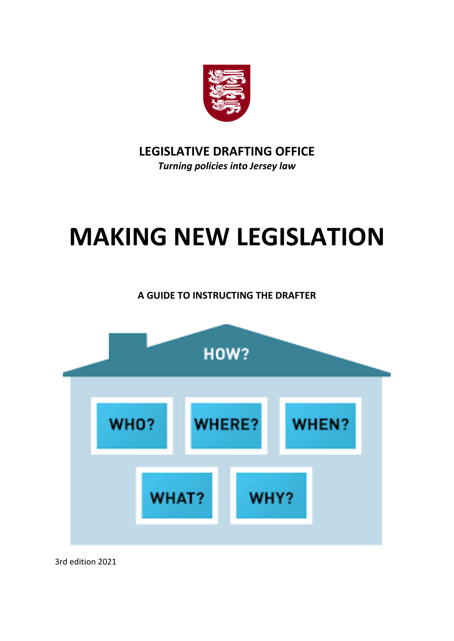

**LEGISLATIVE DRAFTING OFFICE** *Turning policies into Jersey law*

# **MAKING NEW LEGISLATION**

**A GUIDE TO INSTRUCTING THE DRAFTER**



3rd edition 2021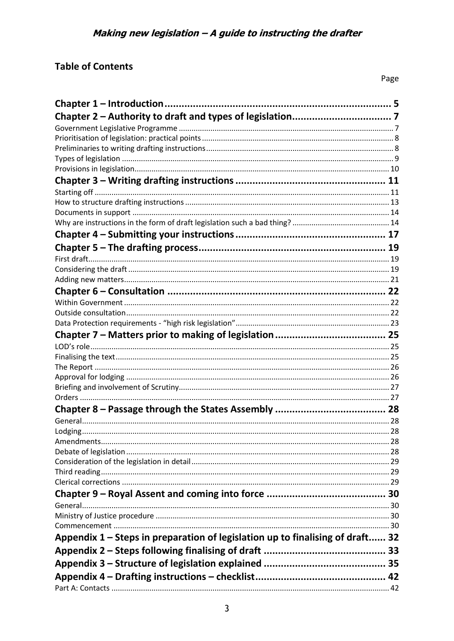# **Table of Contents**

| Appendix 1 - Steps in preparation of legislation up to finalising of draft 32 |  |
|-------------------------------------------------------------------------------|--|
|                                                                               |  |
|                                                                               |  |
|                                                                               |  |
|                                                                               |  |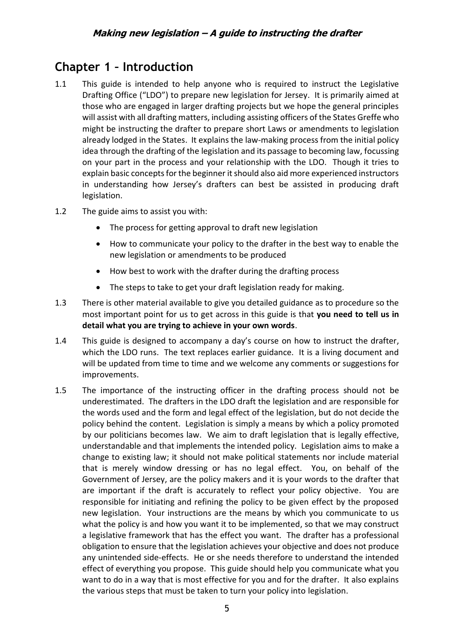# <span id="page-4-0"></span>**Chapter 1 – Introduction**

- 1.1 This guide is intended to help anyone who is required to instruct the Legislative Drafting Office ("LDO") to prepare new legislation for Jersey. It is primarily aimed at those who are engaged in larger drafting projects but we hope the general principles will assist with all drafting matters, including assisting officers of the States Greffe who might be instructing the drafter to prepare short Laws or amendments to legislation already lodged in the States. It explains the law-making process from the initial policy idea through the drafting of the legislation and its passage to becoming law, focussing on your part in the process and your relationship with the LDO. Though it tries to explain basic concepts for the beginner it should also aid more experienced instructors in understanding how Jersey's drafters can best be assisted in producing draft legislation.
- 1.2 The guide aims to assist you with:
	- The process for getting approval to draft new legislation
	- How to communicate your policy to the drafter in the best way to enable the new legislation or amendments to be produced
	- How best to work with the drafter during the drafting process
	- The steps to take to get your draft legislation ready for making.
- 1.3 There is other material available to give you detailed guidance as to procedure so the most important point for us to get across in this guide is that **you need to tell us in detail what you are trying to achieve in your own words**.
- 1.4 This guide is designed to accompany a day's course on how to instruct the drafter, which the LDO runs. The text replaces earlier guidance. It is a living document and will be updated from time to time and we welcome any comments or suggestions for improvements.
- 1.5 The importance of the instructing officer in the drafting process should not be underestimated. The drafters in the LDO draft the legislation and are responsible for the words used and the form and legal effect of the legislation, but do not decide the policy behind the content. Legislation is simply a means by which a policy promoted by our politicians becomes law. We aim to draft legislation that is legally effective, understandable and that implements the intended policy. Legislation aims to make a change to existing law; it should not make political statements nor include material that is merely window dressing or has no legal effect. You, on behalf of the Government of Jersey, are the policy makers and it is your words to the drafter that are important if the draft is accurately to reflect your policy objective. You are responsible for initiating and refining the policy to be given effect by the proposed new legislation. Your instructions are the means by which you communicate to us what the policy is and how you want it to be implemented, so that we may construct a legislative framework that has the effect you want. The drafter has a professional obligation to ensure that the legislation achieves your objective and does not produce any unintended side-effects. He or she needs therefore to understand the intended effect of everything you propose. This guide should help you communicate what you want to do in a way that is most effective for you and for the drafter. It also explains the various steps that must be taken to turn your policy into legislation.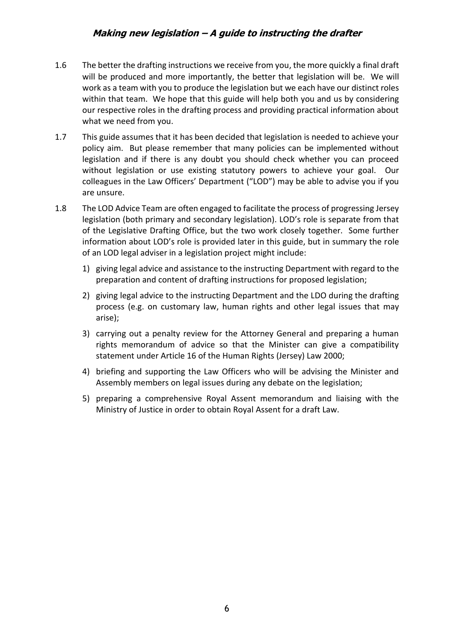- 1.6 The better the drafting instructions we receive from you, the more quickly a final draft will be produced and more importantly, the better that legislation will be. We will work as a team with you to produce the legislation but we each have our distinct roles within that team. We hope that this guide will help both you and us by considering our respective roles in the drafting process and providing practical information about what we need from you.
- 1.7 This guide assumes that it has been decided that legislation is needed to achieve your policy aim. But please remember that many policies can be implemented without legislation and if there is any doubt you should check whether you can proceed without legislation or use existing statutory powers to achieve your goal. Our colleagues in the Law Officers' Department ("LOD") may be able to advise you if you are unsure.
- 1.8 The LOD Advice Team are often engaged to facilitate the process of progressing Jersey legislation (both primary and secondary legislation). LOD's role is separate from that of the Legislative Drafting Office, but the two work closely together. Some further information about LOD's role is provided later in this guide, but in summary the role of an LOD legal adviser in a legislation project might include:
	- 1) giving legal advice and assistance to the instructing Department with regard to the preparation and content of drafting instructions for proposed legislation;
	- 2) giving legal advice to the instructing Department and the LDO during the drafting process (e.g. on customary law, human rights and other legal issues that may arise);
	- 3) carrying out a penalty review for the Attorney General and preparing a human rights memorandum of advice so that the Minister can give a compatibility statement under Article 16 of the Human Rights (Jersey) Law 2000;
	- 4) briefing and supporting the Law Officers who will be advising the Minister and Assembly members on legal issues during any debate on the legislation;
	- 5) preparing a comprehensive Royal Assent memorandum and liaising with the Ministry of Justice in order to obtain Royal Assent for a draft Law.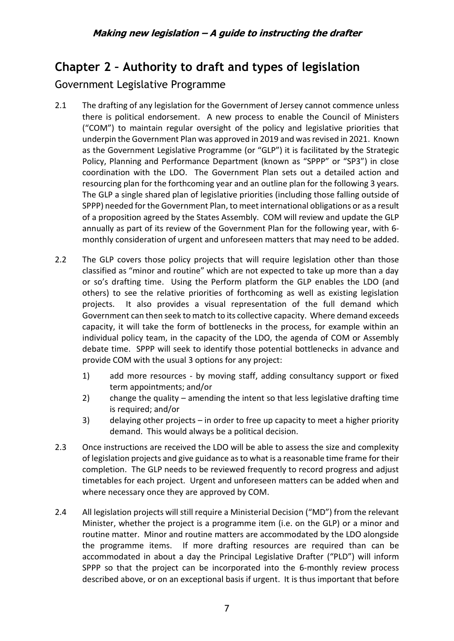# <span id="page-6-0"></span>**Chapter 2 – Authority to draft and types of legislation**

# <span id="page-6-1"></span>Government Legislative Programme

- 2.1 The drafting of any legislation for the Government of Jersey cannot commence unless there is political endorsement. A new process to enable the Council of Ministers ("COM") to maintain regular oversight of the policy and legislative priorities that underpin the Government Plan was approved in 2019 and was revised in 2021. Known as the Government Legislative Programme (or "GLP") it is facilitated by the Strategic Policy, Planning and Performance Department (known as "SPPP" or "SP3") in close coordination with the LDO. The Government Plan sets out a detailed action and resourcing plan for the forthcoming year and an outline plan for the following 3 years. The GLP a single shared plan of legislative priorities (including those falling outside of SPPP) needed for the Government Plan, to meet international obligations or as a result of a proposition agreed by the States Assembly. COM will review and update the GLP annually as part of its review of the Government Plan for the following year, with 6 monthly consideration of urgent and unforeseen matters that may need to be added.
- 2.2 The GLP covers those policy projects that will require legislation other than those classified as "minor and routine" which are not expected to take up more than a day or so's drafting time. Using the Perform platform the GLP enables the LDO (and others) to see the relative priorities of forthcoming as well as existing legislation projects. It also provides a visual representation of the full demand which Government can then seek to match to its collective capacity. Where demand exceeds capacity, it will take the form of bottlenecks in the process, for example within an individual policy team, in the capacity of the LDO, the agenda of COM or Assembly debate time. SPPP will seek to identify those potential bottlenecks in advance and provide COM with the usual 3 options for any project:
	- 1) add more resources by moving staff, adding consultancy support or fixed term appointments; and/or
	- 2) change the quality amending the intent so that less legislative drafting time is required; and/or
	- 3) delaying other projects in order to free up capacity to meet a higher priority demand. This would always be a political decision.
- 2.3 Once instructions are received the LDO will be able to assess the size and complexity of legislation projects and give guidance as to what is a reasonable time frame for their completion. The GLP needs to be reviewed frequently to record progress and adjust timetables for each project. Urgent and unforeseen matters can be added when and where necessary once they are approved by COM.
- 2.4 All legislation projects will still require a Ministerial Decision ("MD") from the relevant Minister, whether the project is a programme item (i.e. on the GLP) or a minor and routine matter. Minor and routine matters are accommodated by the LDO alongside the programme items. If more drafting resources are required than can be accommodated in about a day the Principal Legislative Drafter ("PLD") will inform SPPP so that the project can be incorporated into the 6-monthly review process described above, or on an exceptional basis if urgent. It is thus important that before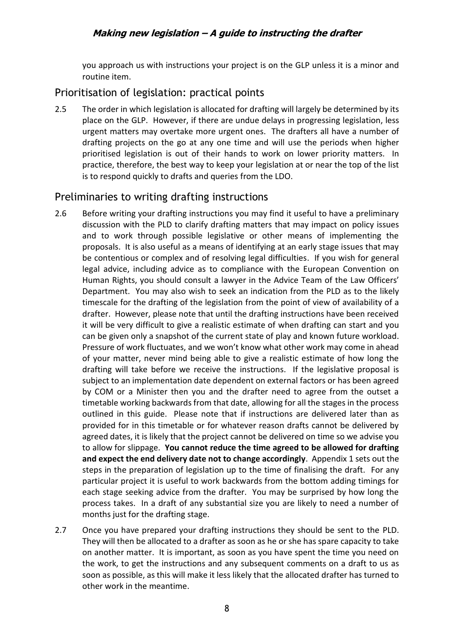you approach us with instructions your project is on the GLP unless it is a minor and routine item.

### <span id="page-7-0"></span>Prioritisation of legislation: practical points

2.5 The order in which legislation is allocated for drafting will largely be determined by its place on the GLP. However, if there are undue delays in progressing legislation, less urgent matters may overtake more urgent ones. The drafters all have a number of drafting projects on the go at any one time and will use the periods when higher prioritised legislation is out of their hands to work on lower priority matters. In practice, therefore, the best way to keep your legislation at or near the top of the list is to respond quickly to drafts and queries from the LDO.

### <span id="page-7-1"></span>Preliminaries to writing drafting instructions

- 2.6 Before writing your drafting instructions you may find it useful to have a preliminary discussion with the PLD to clarify drafting matters that may impact on policy issues and to work through possible legislative or other means of implementing the proposals. It is also useful as a means of identifying at an early stage issues that may be contentious or complex and of resolving legal difficulties. If you wish for general legal advice, including advice as to compliance with the European Convention on Human Rights, you should consult a lawyer in the Advice Team of the Law Officers' Department. You may also wish to seek an indication from the PLD as to the likely timescale for the drafting of the legislation from the point of view of availability of a drafter. However, please note that until the drafting instructions have been received it will be very difficult to give a realistic estimate of when drafting can start and you can be given only a snapshot of the current state of play and known future workload. Pressure of work fluctuates, and we won't know what other work may come in ahead of your matter, never mind being able to give a realistic estimate of how long the drafting will take before we receive the instructions. If the legislative proposal is subject to an implementation date dependent on external factors or has been agreed by COM or a Minister then you and the drafter need to agree from the outset a timetable working backwards from that date, allowing for all the stages in the process outlined in this guide. Please note that if instructions are delivered later than as provided for in this timetable or for whatever reason drafts cannot be delivered by agreed dates, it is likely that the project cannot be delivered on time so we advise you to allow for slippage. **You cannot reduce the time agreed to be allowed for drafting and expect the end delivery date not to change accordingly**. Appendix 1 sets out the steps in the preparation of legislation up to the time of finalising the draft. For any particular project it is useful to work backwards from the bottom adding timings for each stage seeking advice from the drafter. You may be surprised by how long the process takes. In a draft of any substantial size you are likely to need a number of months just for the drafting stage.
- 2.7 Once you have prepared your drafting instructions they should be sent to the PLD. They will then be allocated to a drafter as soon as he or she has spare capacity to take on another matter. It is important, as soon as you have spent the time you need on the work, to get the instructions and any subsequent comments on a draft to us as soon as possible, as this will make it less likely that the allocated drafter has turned to other work in the meantime.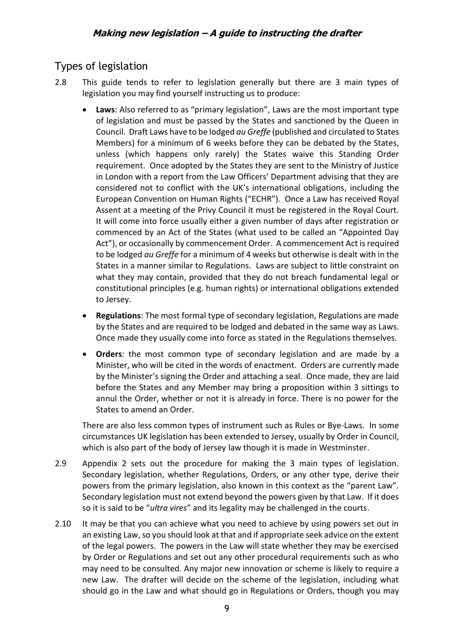# <span id="page-8-0"></span>Types of legislation

- 2.8 This guide tends to refer to legislation generally but there are 3 main types of legislation you may find yourself instructing us to produce:
	- **Laws**: Also referred to as "primary legislation", Laws are the most important type of legislation and must be passed by the States and sanctioned by the Queen in Council. Draft Laws have to be lodged *au Greffe* (published and circulated to States Members) for a minimum of 6 weeks before they can be debated by the States, unless (which happens only rarely) the States waive this Standing Order requirement. Once adopted by the States they are sent to the Ministry of Justice in London with a report from the Law Officers' Department advising that they are considered not to conflict with the UK's international obligations, including the European Convention on Human Rights ("ECHR"). Once a Law has received Royal Assent at a meeting of the Privy Council it must be registered in the Royal Court. It will come into force usually either a given number of days after registration or commenced by an Act of the States (what used to be called an "Appointed Day Act"), or occasionally by commencement Order. A commencement Act is required to be lodged *au Greffe* for a minimum of 4 weeks but otherwise is dealt with in the States in a manner similar to Regulations. Laws are subject to little constraint on what they may contain, provided that they do not breach fundamental legal or constitutional principles (e.g. human rights) or international obligations extended to Jersey.
	- **Regulations**: The most formal type of secondary legislation, Regulations are made by the States and are required to be lodged and debated in the same way as Laws. Once made they usually come into force as stated in the Regulations themselves.
	- **Orders**: the most common type of secondary legislation and are made by a Minister, who will be cited in the words of enactment. Orders are currently made by the Minister's signing the Order and attaching a seal. Once made, they are laid before the States and any Member may bring a proposition within 3 sittings to annul the Order, whether or not it is already in force. There is no power for the States to amend an Order.

There are also less common types of instrument such as Rules or Bye-Laws. In some circumstances UK legislation has been extended to Jersey, usually by Order in Council, which is also part of the body of Jersey law though it is made in Westminster.

- 2.9 Appendix 2 sets out the procedure for making the 3 main types of legislation. Secondary legislation, whether Regulations, Orders, or any other type, derive their powers from the primary legislation, also known in this context as the "parent Law". Secondary legislation must not extend beyond the powers given by that Law. If it does so it is said to be "*ultra vires*" and its legality may be challenged in the courts.
- 2.10 It may be that you can achieve what you need to achieve by using powers set out in an existing Law, so you should look at that and if appropriate seek advice on the extent of the legal powers. The powers in the Law will state whether they may be exercised by Order or Regulations and set out any other procedural requirements such as who may need to be consulted. Any major new innovation or scheme is likely to require a new Law. The drafter will decide on the scheme of the legislation, including what should go in the Law and what should go in Regulations or Orders, though you may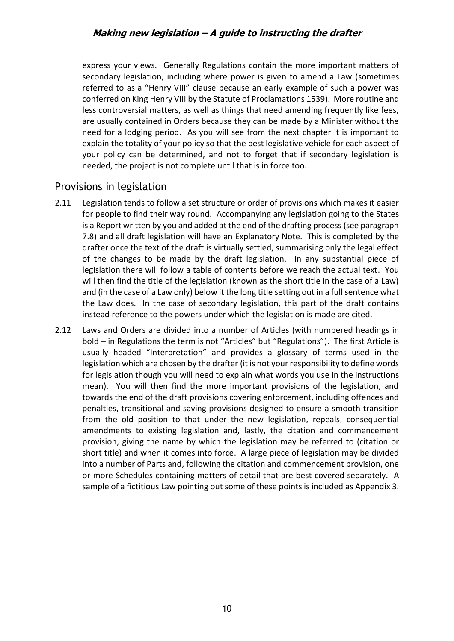express your views. Generally Regulations contain the more important matters of secondary legislation, including where power is given to amend a Law (sometimes referred to as a "Henry VIII" clause because an early example of such a power was conferred on King Henry VIII by the Statute of Proclamations 1539). More routine and less controversial matters, as well as things that need amending frequently like fees, are usually contained in Orders because they can be made by a Minister without the need for a lodging period. As you will see from the next chapter it is important to explain the totality of your policy so that the best legislative vehicle for each aspect of your policy can be determined, and not to forget that if secondary legislation is needed, the project is not complete until that is in force too.

# <span id="page-9-0"></span>Provisions in legislation

- 2.11 Legislation tends to follow a set structure or order of provisions which makes it easier for people to find their way round. Accompanying any legislation going to the States is a Report written by you and added at the end of the drafting process (see paragraph 7.8) and all draft legislation will have an Explanatory Note. This is completed by the drafter once the text of the draft is virtually settled, summarising only the legal effect of the changes to be made by the draft legislation. In any substantial piece of legislation there will follow a table of contents before we reach the actual text. You will then find the title of the legislation (known as the short title in the case of a Law) and (in the case of a Law only) below it the long title setting out in a full sentence what the Law does. In the case of secondary legislation, this part of the draft contains instead reference to the powers under which the legislation is made are cited.
- 2.12 Laws and Orders are divided into a number of Articles (with numbered headings in bold – in Regulations the term is not "Articles" but "Regulations"). The first Article is usually headed "Interpretation" and provides a glossary of terms used in the legislation which are chosen by the drafter (it is not your responsibility to define words for legislation though you will need to explain what words you use in the instructions mean). You will then find the more important provisions of the legislation, and towards the end of the draft provisions covering enforcement, including offences and penalties, transitional and saving provisions designed to ensure a smooth transition from the old position to that under the new legislation, repeals, consequential amendments to existing legislation and, lastly, the citation and commencement provision, giving the name by which the legislation may be referred to (citation or short title) and when it comes into force. A large piece of legislation may be divided into a number of Parts and, following the citation and commencement provision, one or more Schedules containing matters of detail that are best covered separately. A sample of a fictitious Law pointing out some of these points is included as Appendix 3.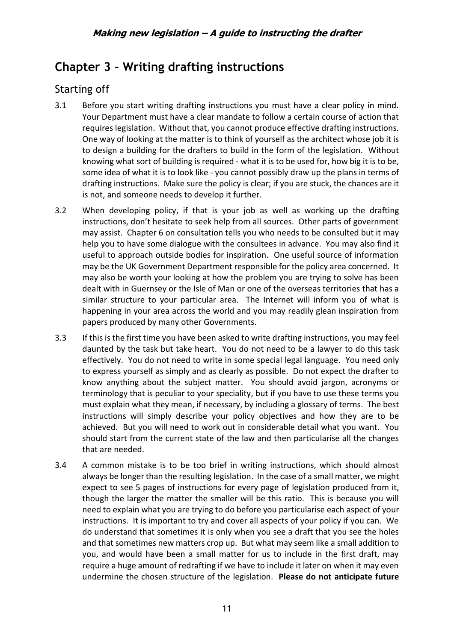# <span id="page-10-0"></span>**Chapter 3 – Writing drafting instructions**

# <span id="page-10-1"></span>Starting off

- 3.1 Before you start writing drafting instructions you must have a clear policy in mind. Your Department must have a clear mandate to follow a certain course of action that requires legislation. Without that, you cannot produce effective drafting instructions. One way of looking at the matter is to think of yourself as the architect whose job it is to design a building for the drafters to build in the form of the legislation. Without knowing what sort of building is required - what it is to be used for, how big it is to be, some idea of what it is to look like - you cannot possibly draw up the plans in terms of drafting instructions. Make sure the policy is clear; if you are stuck, the chances are it is not, and someone needs to develop it further.
- 3.2 When developing policy, if that is your job as well as working up the drafting instructions, don't hesitate to seek help from all sources. Other parts of government may assist. Chapter 6 on consultation tells you who needs to be consulted but it may help you to have some dialogue with the consultees in advance. You may also find it useful to approach outside bodies for inspiration. One useful source of information may be the UK Government Department responsible for the policy area concerned. It may also be worth your looking at how the problem you are trying to solve has been dealt with in Guernsey or the Isle of Man or one of the overseas territories that has a similar structure to your particular area. The Internet will inform you of what is happening in your area across the world and you may readily glean inspiration from papers produced by many other Governments.
- 3.3 If this is the first time you have been asked to write drafting instructions, you may feel daunted by the task but take heart. You do not need to be a lawyer to do this task effectively. You do not need to write in some special legal language. You need only to express yourself as simply and as clearly as possible. Do not expect the drafter to know anything about the subject matter. You should avoid jargon, acronyms or terminology that is peculiar to your speciality, but if you have to use these terms you must explain what they mean, if necessary, by including a glossary of terms. The best instructions will simply describe your policy objectives and how they are to be achieved. But you will need to work out in considerable detail what you want. You should start from the current state of the law and then particularise all the changes that are needed.
- 3.4 A common mistake is to be too brief in writing instructions, which should almost always be longer than the resulting legislation. In the case of a small matter, we might expect to see 5 pages of instructions for every page of legislation produced from it, though the larger the matter the smaller will be this ratio. This is because you will need to explain what you are trying to do before you particularise each aspect of your instructions. It is important to try and cover all aspects of your policy if you can. We do understand that sometimes it is only when you see a draft that you see the holes and that sometimes new matters crop up. But what may seem like a small addition to you, and would have been a small matter for us to include in the first draft, may require a huge amount of redrafting if we have to include it later on when it may even undermine the chosen structure of the legislation. **Please do not anticipate future**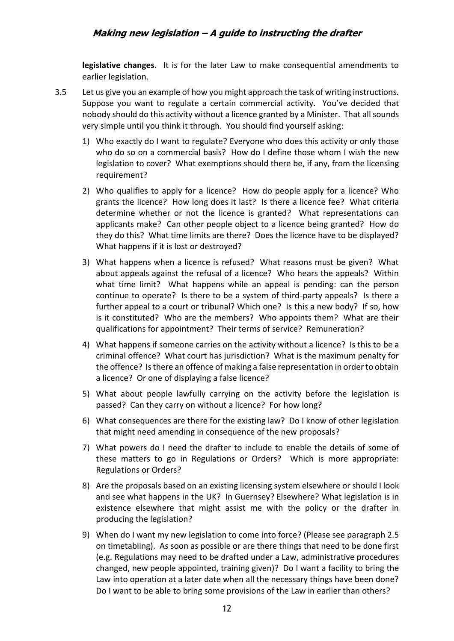**legislative changes.** It is for the later Law to make consequential amendments to earlier legislation.

- 3.5 Let us give you an example of how you might approach the task of writing instructions. Suppose you want to regulate a certain commercial activity. You've decided that nobody should do this activity without a licence granted by a Minister. That all sounds very simple until you think it through. You should find yourself asking:
	- 1) Who exactly do I want to regulate? Everyone who does this activity or only those who do so on a commercial basis? How do I define those whom I wish the new legislation to cover? What exemptions should there be, if any, from the licensing requirement?
	- 2) Who qualifies to apply for a licence? How do people apply for a licence? Who grants the licence? How long does it last? Is there a licence fee? What criteria determine whether or not the licence is granted? What representations can applicants make? Can other people object to a licence being granted? How do they do this? What time limits are there? Does the licence have to be displayed? What happens if it is lost or destroyed?
	- 3) What happens when a licence is refused? What reasons must be given? What about appeals against the refusal of a licence? Who hears the appeals? Within what time limit? What happens while an appeal is pending: can the person continue to operate? Is there to be a system of third-party appeals? Is there a further appeal to a court or tribunal? Which one? Is this a new body? If so, how is it constituted? Who are the members? Who appoints them? What are their qualifications for appointment? Their terms of service? Remuneration?
	- 4) What happens if someone carries on the activity without a licence? Is this to be a criminal offence? What court has jurisdiction? What is the maximum penalty for the offence? Is there an offence of making a false representation in order to obtain a licence? Or one of displaying a false licence?
	- 5) What about people lawfully carrying on the activity before the legislation is passed? Can they carry on without a licence? For how long?
	- 6) What consequences are there for the existing law? Do I know of other legislation that might need amending in consequence of the new proposals?
	- 7) What powers do I need the drafter to include to enable the details of some of these matters to go in Regulations or Orders? Which is more appropriate: Regulations or Orders?
	- 8) Are the proposals based on an existing licensing system elsewhere or should I look and see what happens in the UK? In Guernsey? Elsewhere? What legislation is in existence elsewhere that might assist me with the policy or the drafter in producing the legislation?
	- 9) When do I want my new legislation to come into force? (Please see paragraph 2.5 on timetabling). As soon as possible or are there things that need to be done first (e.g. Regulations may need to be drafted under a Law, administrative procedures changed, new people appointed, training given)? Do I want a facility to bring the Law into operation at a later date when all the necessary things have been done? Do I want to be able to bring some provisions of the Law in earlier than others?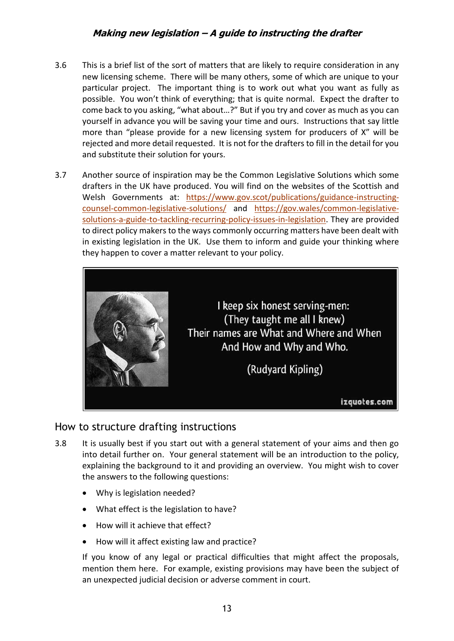- 3.6 This is a brief list of the sort of matters that are likely to require consideration in any new licensing scheme. There will be many others, some of which are unique to your particular project. The important thing is to work out what you want as fully as possible. You won't think of everything; that is quite normal. Expect the drafter to come back to you asking, "what about…?" But if you try and cover as much as you can yourself in advance you will be saving your time and ours. Instructions that say little more than "please provide for a new licensing system for producers of X" will be rejected and more detail requested. It is not for the drafters to fill in the detail for you and substitute their solution for yours.
- 3.7 Another source of inspiration may be the Common Legislative Solutions which some drafters in the UK have produced. You will find on the websites of the Scottish and Welsh Governments at: [https://www.gov.scot/publications/guidance-instructing](https://www.gov.scot/publications/guidance-instructing-counsel-common-legislative-solutions/)[counsel-common-legislative-solutions/](https://www.gov.scot/publications/guidance-instructing-counsel-common-legislative-solutions/) and [https://gov.wales/common-legislative](https://gov.wales/common-legislative-solutions-a-guide-to-tackling-recurring-policy-issues-in-legislation)[solutions-a-guide-to-tackling-recurring-policy-issues-in-legislation.](https://gov.wales/common-legislative-solutions-a-guide-to-tackling-recurring-policy-issues-in-legislation) They are provided to direct policy makers to the ways commonly occurring matters have been dealt with in existing legislation in the UK. Use them to inform and guide your thinking where they happen to cover a matter relevant to your policy.



# <span id="page-12-0"></span>How to structure drafting instructions

- 3.8 It is usually best if you start out with a general statement of your aims and then go into detail further on. Your general statement will be an introduction to the policy, explaining the background to it and providing an overview. You might wish to cover the answers to the following questions:
	- Why is legislation needed?
	- What effect is the legislation to have?
	- How will it achieve that effect?
	- How will it affect existing law and practice?

If you know of any legal or practical difficulties that might affect the proposals, mention them here. For example, existing provisions may have been the subject of an unexpected judicial decision or adverse comment in court.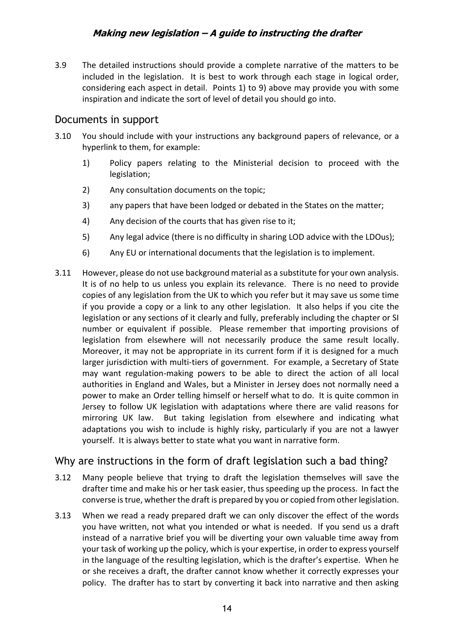3.9 The detailed instructions should provide a complete narrative of the matters to be included in the legislation. It is best to work through each stage in logical order, considering each aspect in detail. Points 1) to 9) above may provide you with some inspiration and indicate the sort of level of detail you should go into.

### <span id="page-13-0"></span>Documents in support

- 3.10 You should include with your instructions any background papers of relevance, or a hyperlink to them, for example:
	- 1) Policy papers relating to the Ministerial decision to proceed with the legislation;
	- 2) Any consultation documents on the topic;
	- 3) any papers that have been lodged or debated in the States on the matter;
	- 4) Any decision of the courts that has given rise to it;
	- 5) Any legal advice (there is no difficulty in sharing LOD advice with the LDOus);
	- 6) Any EU or international documents that the legislation is to implement.
- 3.11 However, please do not use background material as a substitute for your own analysis. It is of no help to us unless you explain its relevance. There is no need to provide copies of any legislation from the UK to which you refer but it may save us some time if you provide a copy or a link to any other legislation. It also helps if you cite the legislation or any sections of it clearly and fully, preferably including the chapter or SI number or equivalent if possible. Please remember that importing provisions of legislation from elsewhere will not necessarily produce the same result locally. Moreover, it may not be appropriate in its current form if it is designed for a much larger jurisdiction with multi-tiers of government. For example, a Secretary of State may want regulation-making powers to be able to direct the action of all local authorities in England and Wales, but a Minister in Jersey does not normally need a power to make an Order telling himself or herself what to do. It is quite common in Jersey to follow UK legislation with adaptations where there are valid reasons for mirroring UK law. But taking legislation from elsewhere and indicating what adaptations you wish to include is highly risky, particularly if you are not a lawyer yourself. It is always better to state what you want in narrative form.

# <span id="page-13-1"></span>Why are instructions in the form of draft legislation such a bad thing?

- 3.12 Many people believe that trying to draft the legislation themselves will save the drafter time and make his or her task easier, thus speeding up the process. In fact the converse is true, whether the draft is prepared by you or copied from other legislation.
- 3.13 When we read a ready prepared draft we can only discover the effect of the words you have written, not what you intended or what is needed. If you send us a draft instead of a narrative brief you will be diverting your own valuable time away from your task of working up the policy, which is your expertise, in order to express yourself in the language of the resulting legislation, which is the drafter's expertise. When he or she receives a draft, the drafter cannot know whether it correctly expresses your policy. The drafter has to start by converting it back into narrative and then asking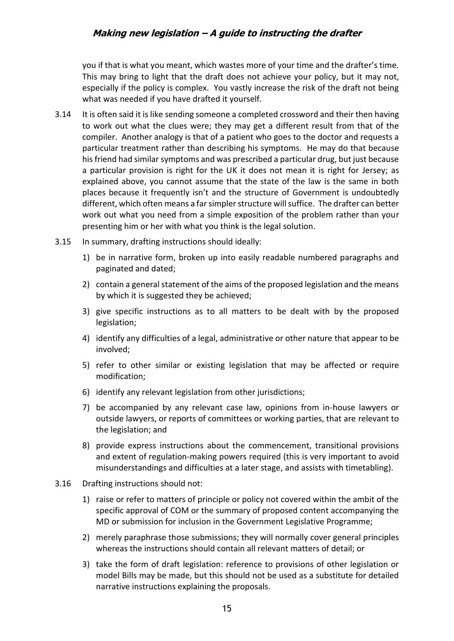you if that is what you meant, which wastes more of your time and the drafter's time. This may bring to light that the draft does not achieve your policy, but it may not, especially if the policy is complex. You vastly increase the risk of the draft not being what was needed if you have drafted it yourself.

- 3.14 It is often said it is like sending someone a completed crossword and their then having to work out what the clues were; they may get a different result from that of the compiler. Another analogy is that of a patient who goes to the doctor and requests a particular treatment rather than describing his symptoms. He may do that because his friend had similar symptoms and was prescribed a particular drug, but just because a particular provision is right for the UK it does not mean it is right for Jersey; as explained above, you cannot assume that the state of the law is the same in both places because it frequently isn't and the structure of Government is undoubtedly different, which often means a far simpler structure will suffice. The drafter can better work out what you need from a simple exposition of the problem rather than your presenting him or her with what you think is the legal solution.
- 3.15 In summary, drafting instructions should ideally:
	- 1) be in narrative form, broken up into easily readable numbered paragraphs and paginated and dated;
	- 2) contain a general statement of the aims of the proposed legislation and the means by which it is suggested they be achieved;
	- 3) give specific instructions as to all matters to be dealt with by the proposed legislation;
	- 4) identify any difficulties of a legal, administrative or other nature that appear to be involved;
	- 5) refer to other similar or existing legislation that may be affected or require modification;
	- 6) identify any relevant legislation from other jurisdictions;
	- 7) be accompanied by any relevant case law, opinions from in-house lawyers or outside lawyers, or reports of committees or working parties, that are relevant to the legislation; and
	- 8) provide express instructions about the commencement, transitional provisions and extent of regulation-making powers required (this is very important to avoid misunderstandings and difficulties at a later stage, and assists with timetabling).
- 3.16 Drafting instructions should not:
	- 1) raise or refer to matters of principle or policy not covered within the ambit of the specific approval of COM or the summary of proposed content accompanying the MD or submission for inclusion in the Government Legislative Programme;
	- 2) merely paraphrase those submissions; they will normally cover general principles whereas the instructions should contain all relevant matters of detail; or
	- 3) take the form of draft legislation: reference to provisions of other legislation or model Bills may be made, but this should not be used as a substitute for detailed narrative instructions explaining the proposals.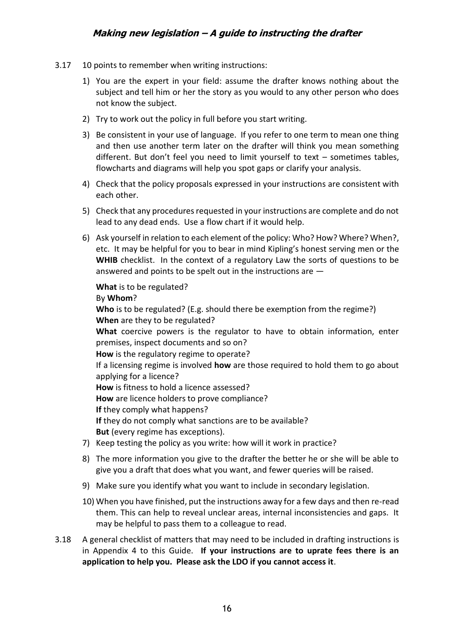- 3.17 10 points to remember when writing instructions:
	- 1) You are the expert in your field: assume the drafter knows nothing about the subject and tell him or her the story as you would to any other person who does not know the subject.
	- 2) Try to work out the policy in full before you start writing.
	- 3) Be consistent in your use of language. If you refer to one term to mean one thing and then use another term later on the drafter will think you mean something different. But don't feel you need to limit yourself to text – sometimes tables, flowcharts and diagrams will help you spot gaps or clarify your analysis.
	- 4) Check that the policy proposals expressed in your instructions are consistent with each other.
	- 5) Check that any procedures requested in your instructions are complete and do not lead to any dead ends. Use a flow chart if it would help.
	- 6) Ask yourself in relation to each element of the policy: Who? How? Where? When?, etc. It may be helpful for you to bear in mind Kipling's honest serving men or the **WHIB** checklist. In the context of a regulatory Law the sorts of questions to be answered and points to be spelt out in the instructions are —

**What** is to be regulated? By **Whom**? **Who** is to be regulated? (E.g. should there be exemption from the regime?) **When** are they to be regulated? **What** coercive powers is the regulator to have to obtain information, enter premises, inspect documents and so on? **How** is the regulatory regime to operate? If a licensing regime is involved **how** are those required to hold them to go about applying for a licence? **How** is fitness to hold a licence assessed? **How** are licence holders to prove compliance? **If** they comply what happens? **If** they do not comply what sanctions are to be available? **But** (every regime has exceptions).

- 7) Keep testing the policy as you write: how will it work in practice?
- 8) The more information you give to the drafter the better he or she will be able to give you a draft that does what you want, and fewer queries will be raised.
- 9) Make sure you identify what you want to include in secondary legislation.
- 10) When you have finished, put the instructions away for a few days and then re-read them. This can help to reveal unclear areas, internal inconsistencies and gaps. It may be helpful to pass them to a colleague to read.
- 3.18 A general checklist of matters that may need to be included in drafting instructions is in Appendix 4 to this Guide. **If your instructions are to uprate fees there is an application to help you. Please ask the LDO if you cannot access it**.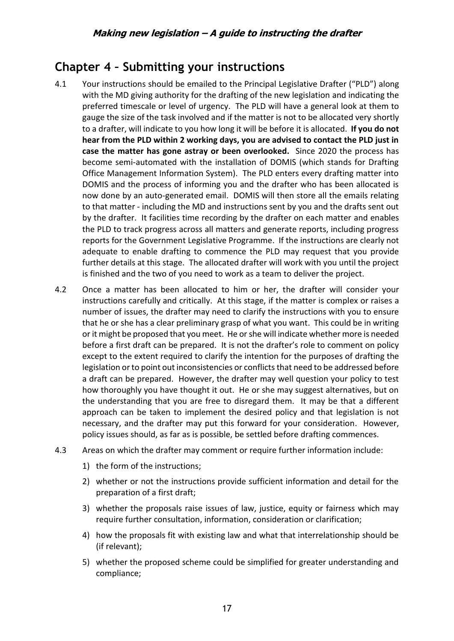# <span id="page-16-0"></span>**Chapter 4 – Submitting your instructions**

- 4.1 Your instructions should be emailed to the Principal Legislative Drafter ("PLD") along with the MD giving authority for the drafting of the new legislation and indicating the preferred timescale or level of urgency. The PLD will have a general look at them to gauge the size of the task involved and if the matter is not to be allocated very shortly to a drafter, will indicate to you how long it will be before it is allocated. **If you do not hear from the PLD within 2 working days, you are advised to contact the PLD just in case the matter has gone astray or been overlooked.** Since 2020 the process has become semi-automated with the installation of DOMIS (which stands for Drafting Office Management Information System). The PLD enters every drafting matter into DOMIS and the process of informing you and the drafter who has been allocated is now done by an auto-generated email. DOMIS will then store all the emails relating to that matter - including the MD and instructions sent by you and the drafts sent out by the drafter. It facilities time recording by the drafter on each matter and enables the PLD to track progress across all matters and generate reports, including progress reports for the Government Legislative Programme. If the instructions are clearly not adequate to enable drafting to commence the PLD may request that you provide further details at this stage. The allocated drafter will work with you until the project is finished and the two of you need to work as a team to deliver the project.
- 4.2 Once a matter has been allocated to him or her, the drafter will consider your instructions carefully and critically. At this stage, if the matter is complex or raises a number of issues, the drafter may need to clarify the instructions with you to ensure that he or she has a clear preliminary grasp of what you want. This could be in writing or it might be proposed that you meet. He or she will indicate whether more is needed before a first draft can be prepared. It is not the drafter's role to comment on policy except to the extent required to clarify the intention for the purposes of drafting the legislation or to point out inconsistencies or conflicts that need to be addressed before a draft can be prepared. However, the drafter may well question your policy to test how thoroughly you have thought it out. He or she may suggest alternatives, but on the understanding that you are free to disregard them. It may be that a different approach can be taken to implement the desired policy and that legislation is not necessary, and the drafter may put this forward for your consideration. However, policy issues should, as far as is possible, be settled before drafting commences.
- 4.3 Areas on which the drafter may comment or require further information include:
	- 1) the form of the instructions;
	- 2) whether or not the instructions provide sufficient information and detail for the preparation of a first draft;
	- 3) whether the proposals raise issues of law, justice, equity or fairness which may require further consultation, information, consideration or clarification;
	- 4) how the proposals fit with existing law and what that interrelationship should be (if relevant);
	- 5) whether the proposed scheme could be simplified for greater understanding and compliance;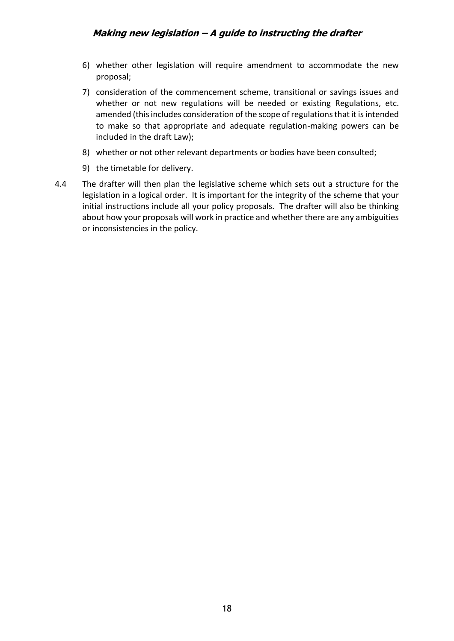- 6) whether other legislation will require amendment to accommodate the new proposal;
- 7) consideration of the commencement scheme, transitional or savings issues and whether or not new regulations will be needed or existing Regulations, etc. amended (this includes consideration of the scope of regulations that it is intended to make so that appropriate and adequate regulation-making powers can be included in the draft Law);
- 8) whether or not other relevant departments or bodies have been consulted;
- 9) the timetable for delivery.
- 4.4 The drafter will then plan the legislative scheme which sets out a structure for the legislation in a logical order. It is important for the integrity of the scheme that your initial instructions include all your policy proposals. The drafter will also be thinking about how your proposals will work in practice and whether there are any ambiguities or inconsistencies in the policy.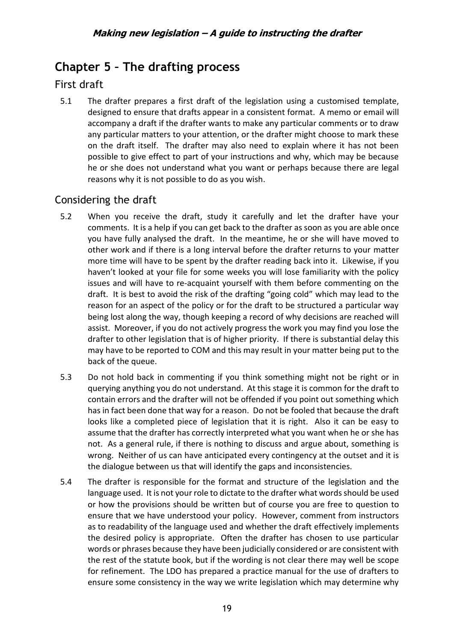# <span id="page-18-0"></span>**Chapter 5 – The drafting process**

# <span id="page-18-1"></span>First draft

5.1 The drafter prepares a first draft of the legislation using a customised template, designed to ensure that drafts appear in a consistent format. A memo or email will accompany a draft if the drafter wants to make any particular comments or to draw any particular matters to your attention, or the drafter might choose to mark these on the draft itself. The drafter may also need to explain where it has not been possible to give effect to part of your instructions and why, which may be because he or she does not understand what you want or perhaps because there are legal reasons why it is not possible to do as you wish.

# <span id="page-18-2"></span>Considering the draft

- 5.2 When you receive the draft, study it carefully and let the drafter have your comments. It is a help if you can get back to the drafter as soon as you are able once you have fully analysed the draft. In the meantime, he or she will have moved to other work and if there is a long interval before the drafter returns to your matter more time will have to be spent by the drafter reading back into it. Likewise, if you haven't looked at your file for some weeks you will lose familiarity with the policy issues and will have to re-acquaint yourself with them before commenting on the draft. It is best to avoid the risk of the drafting "going cold" which may lead to the reason for an aspect of the policy or for the draft to be structured a particular way being lost along the way, though keeping a record of why decisions are reached will assist. Moreover, if you do not actively progress the work you may find you lose the drafter to other legislation that is of higher priority. If there is substantial delay this may have to be reported to COM and this may result in your matter being put to the back of the queue.
- 5.3 Do not hold back in commenting if you think something might not be right or in querying anything you do not understand. At this stage it is common for the draft to contain errors and the drafter will not be offended if you point out something which has in fact been done that way for a reason. Do not be fooled that because the draft looks like a completed piece of legislation that it is right. Also it can be easy to assume that the drafter has correctly interpreted what you want when he or she has not. As a general rule, if there is nothing to discuss and argue about, something is wrong. Neither of us can have anticipated every contingency at the outset and it is the dialogue between us that will identify the gaps and inconsistencies.
- 5.4 The drafter is responsible for the format and structure of the legislation and the language used. It is not your role to dictate to the drafter what words should be used or how the provisions should be written but of course you are free to question to ensure that we have understood your policy. However, comment from instructors as to readability of the language used and whether the draft effectively implements the desired policy is appropriate. Often the drafter has chosen to use particular words or phrases because they have been judicially considered or are consistent with the rest of the statute book, but if the wording is not clear there may well be scope for refinement. The LDO has prepared a practice manual for the use of drafters to ensure some consistency in the way we write legislation which may determine why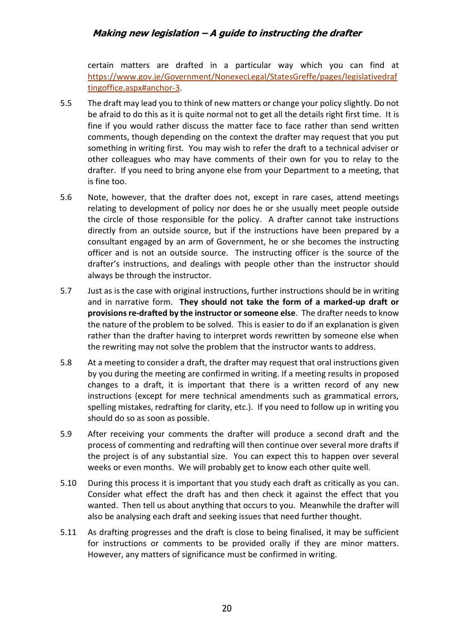certain matters are drafted in a particular way which you can find at [https://www.gov.je/Government/NonexecLegal/StatesGreffe/pages/legislativedraf](https://www.gov.je/Government/NonexecLegal/StatesGreffe/pages/legislativedraftingoffice.aspx#anchor-3) [tingoffice.aspx#anchor-3.](https://www.gov.je/Government/NonexecLegal/StatesGreffe/pages/legislativedraftingoffice.aspx#anchor-3)

- 5.5 The draft may lead you to think of new matters or change your policy slightly. Do not be afraid to do this as it is quite normal not to get all the details right first time. It is fine if you would rather discuss the matter face to face rather than send written comments, though depending on the context the drafter may request that you put something in writing first. You may wish to refer the draft to a technical adviser or other colleagues who may have comments of their own for you to relay to the drafter. If you need to bring anyone else from your Department to a meeting, that is fine too.
- 5.6 Note, however, that the drafter does not, except in rare cases, attend meetings relating to development of policy nor does he or she usually meet people outside the circle of those responsible for the policy. A drafter cannot take instructions directly from an outside source, but if the instructions have been prepared by a consultant engaged by an arm of Government, he or she becomes the instructing officer and is not an outside source. The instructing officer is the source of the drafter's instructions, and dealings with people other than the instructor should always be through the instructor.
- 5.7 Just as is the case with original instructions, further instructions should be in writing and in narrative form. **They should not take the form of a marked-up draft or provisions re-drafted by the instructor or someone else**. The drafter needs to know the nature of the problem to be solved. This is easier to do if an explanation is given rather than the drafter having to interpret words rewritten by someone else when the rewriting may not solve the problem that the instructor wants to address.
- 5.8 At a meeting to consider a draft, the drafter may request that oral instructions given by you during the meeting are confirmed in writing. If a meeting results in proposed changes to a draft, it is important that there is a written record of any new instructions (except for mere technical amendments such as grammatical errors, spelling mistakes, redrafting for clarity, etc.). If you need to follow up in writing you should do so as soon as possible.
- 5.9 After receiving your comments the drafter will produce a second draft and the process of commenting and redrafting will then continue over several more drafts if the project is of any substantial size. You can expect this to happen over several weeks or even months. We will probably get to know each other quite well.
- 5.10 During this process it is important that you study each draft as critically as you can. Consider what effect the draft has and then check it against the effect that you wanted. Then tell us about anything that occurs to you. Meanwhile the drafter will also be analysing each draft and seeking issues that need further thought.
- 5.11 As drafting progresses and the draft is close to being finalised, it may be sufficient for instructions or comments to be provided orally if they are minor matters. However, any matters of significance must be confirmed in writing.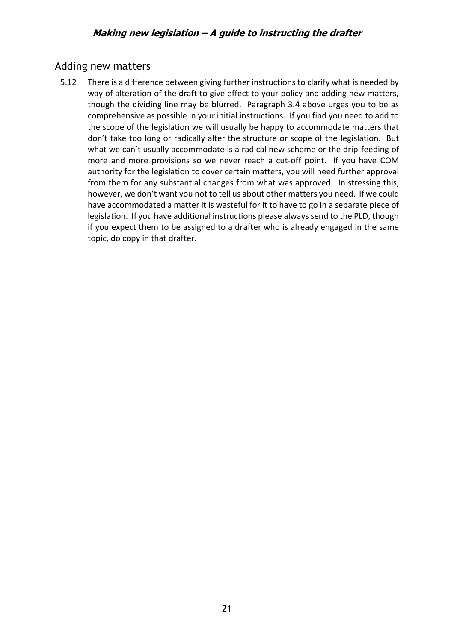### <span id="page-20-0"></span>Adding new matters

5.12 There is a difference between giving further instructions to clarify what is needed by way of alteration of the draft to give effect to your policy and adding new matters, though the dividing line may be blurred. Paragraph 3.4 above urges you to be as comprehensive as possible in your initial instructions. If you find you need to add to the scope of the legislation we will usually be happy to accommodate matters that don't take too long or radically alter the structure or scope of the legislation. But what we can't usually accommodate is a radical new scheme or the drip-feeding of more and more provisions so we never reach a cut-off point. If you have COM authority for the legislation to cover certain matters, you will need further approval from them for any substantial changes from what was approved. In stressing this, however, we don't want you not to tell us about other matters you need. If we could have accommodated a matter it is wasteful for it to have to go in a separate piece of legislation. If you have additional instructions please always send to the PLD, though if you expect them to be assigned to a drafter who is already engaged in the same topic, do copy in that drafter.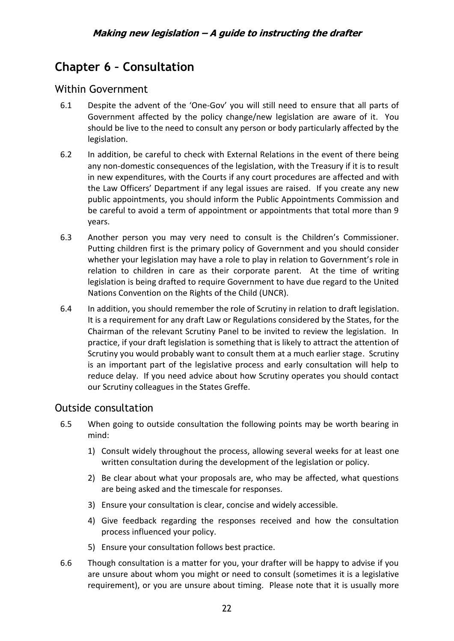# <span id="page-21-0"></span>**Chapter 6 – Consultation**

# <span id="page-21-1"></span>Within Government

- 6.1 Despite the advent of the 'One-Gov' you will still need to ensure that all parts of Government affected by the policy change/new legislation are aware of it. You should be live to the need to consult any person or body particularly affected by the legislation.
- 6.2 In addition, be careful to check with External Relations in the event of there being any non-domestic consequences of the legislation, with the Treasury if it is to result in new expenditures, with the Courts if any court procedures are affected and with the Law Officers' Department if any legal issues are raised. If you create any new public appointments, you should inform the Public Appointments Commission and be careful to avoid a term of appointment or appointments that total more than 9 years.
- 6.3 Another person you may very need to consult is the Children's Commissioner. Putting children first is the primary policy of Government and you should consider whether your legislation may have a role to play in relation to Government's role in relation to children in care as their corporate parent. At the time of writing legislation is being drafted to require Government to have due regard to the United Nations Convention on the Rights of the Child (UNCR).
- 6.4 In addition, you should remember the role of Scrutiny in relation to draft legislation. It is a requirement for any draft Law or Regulations considered by the States, for the Chairman of the relevant Scrutiny Panel to be invited to review the legislation. In practice, if your draft legislation is something that is likely to attract the attention of Scrutiny you would probably want to consult them at a much earlier stage. Scrutiny is an important part of the legislative process and early consultation will help to reduce delay. If you need advice about how Scrutiny operates you should contact our Scrutiny colleagues in the States Greffe.

# <span id="page-21-2"></span>Outside consultation

- 6.5 When going to outside consultation the following points may be worth bearing in mind:
	- 1) Consult widely throughout the process, allowing several weeks for at least one written consultation during the development of the legislation or policy.
	- 2) Be clear about what your proposals are, who may be affected, what questions are being asked and the timescale for responses.
	- 3) Ensure your consultation is clear, concise and widely accessible.
	- 4) Give feedback regarding the responses received and how the consultation process influenced your policy.
	- 5) Ensure your consultation follows best practice.
- 6.6 Though consultation is a matter for you, your drafter will be happy to advise if you are unsure about whom you might or need to consult (sometimes it is a legislative requirement), or you are unsure about timing. Please note that it is usually more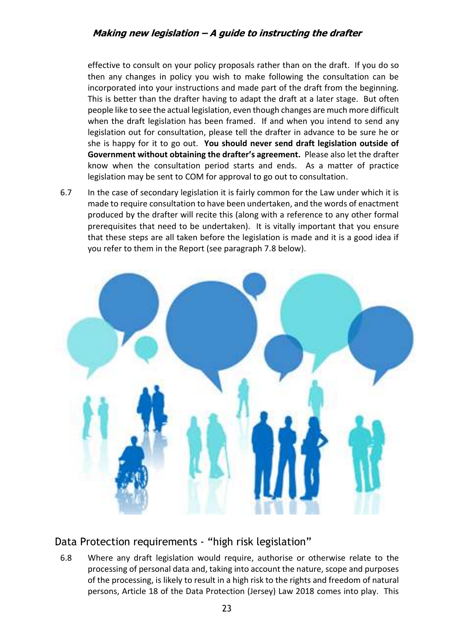effective to consult on your policy proposals rather than on the draft. If you do so then any changes in policy you wish to make following the consultation can be incorporated into your instructions and made part of the draft from the beginning. This is better than the drafter having to adapt the draft at a later stage. But often people like to see the actual legislation, even though changes are much more difficult when the draft legislation has been framed. If and when you intend to send any legislation out for consultation, please tell the drafter in advance to be sure he or she is happy for it to go out. **You should never send draft legislation outside of Government without obtaining the drafter's agreement.** Please also let the drafter know when the consultation period starts and ends. As a matter of practice legislation may be sent to COM for approval to go out to consultation.

6.7 In the case of secondary legislation it is fairly common for the Law under which it is made to require consultation to have been undertaken, and the words of enactment produced by the drafter will recite this (along with a reference to any other formal prerequisites that need to be undertaken). It is vitally important that you ensure that these steps are all taken before the legislation is made and it is a good idea if you refer to them in the Report (see paragraph 7.8 below).



# <span id="page-22-0"></span>Data Protection requirements - "high risk legislation"

6.8 Where any draft legislation would require, authorise or otherwise relate to the processing of personal data and, taking into account the nature, scope and purposes of the processing, is likely to result in a high risk to the rights and freedom of natural persons, Article 18 of the Data Protection (Jersey) Law 2018 comes into play. This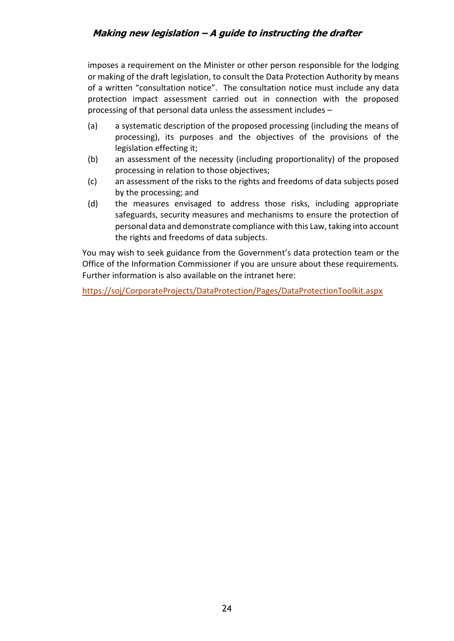imposes a requirement on the Minister or other person responsible for the lodging or making of the draft legislation, to consult the Data Protection Authority by means of a written "consultation notice". The consultation notice must include any data protection impact assessment carried out in connection with the proposed processing of that personal data unless the assessment includes –

- (a) a systematic description of the proposed processing (including the means of processing), its purposes and the objectives of the provisions of the legislation effecting it;
- (b) an assessment of the necessity (including proportionality) of the proposed processing in relation to those objectives;
- (c) an assessment of the risks to the rights and freedoms of data subjects posed by the processing; and
- (d) the measures envisaged to address those risks, including appropriate safeguards, security measures and mechanisms to ensure the protection of personal data and demonstrate compliance with this Law, taking into account the rights and freedoms of data subjects.

You may wish to seek guidance from the Government's data protection team or the Office of the Information Commissioner if you are unsure about these requirements. Further information is also available on the intranet here:

<https://soj/CorporateProjects/DataProtection/Pages/DataProtectionToolkit.aspx>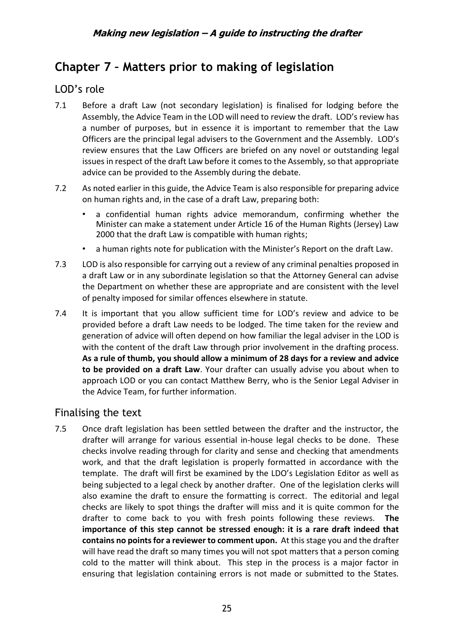# <span id="page-24-0"></span>**Chapter 7 – Matters prior to making of legislation**

# <span id="page-24-1"></span>LOD's role

- 7.1 Before a draft Law (not secondary legislation) is finalised for lodging before the Assembly, the Advice Team in the LOD will need to review the draft. LOD's review has a number of purposes, but in essence it is important to remember that the Law Officers are the principal legal advisers to the Government and the Assembly. LOD's review ensures that the Law Officers are briefed on any novel or outstanding legal issues in respect of the draft Law before it comes to the Assembly, so that appropriate advice can be provided to the Assembly during the debate.
- 7.2 As noted earlier in this guide, the Advice Team is also responsible for preparing advice on human rights and, in the case of a draft Law, preparing both:
	- a confidential human rights advice memorandum, confirming whether the Minister can make a statement under Article 16 of the Human Rights (Jersey) Law 2000 that the draft Law is compatible with human rights;
	- a human rights note for publication with the Minister's Report on the draft Law.
- 7.3 LOD is also responsible for carrying out a review of any criminal penalties proposed in a draft Law or in any subordinate legislation so that the Attorney General can advise the Department on whether these are appropriate and are consistent with the level of penalty imposed for similar offences elsewhere in statute.
- 7.4 It is important that you allow sufficient time for LOD's review and advice to be provided before a draft Law needs to be lodged. The time taken for the review and generation of advice will often depend on how familiar the legal adviser in the LOD is with the content of the draft Law through prior involvement in the drafting process. **As a rule of thumb, you should allow a minimum of 28 days for a review and advice to be provided on a draft Law**. Your drafter can usually advise you about when to approach LOD or you can contact Matthew Berry, who is the Senior Legal Adviser in the Advice Team, for further information.

# <span id="page-24-2"></span>Finalising the text

7.5 Once draft legislation has been settled between the drafter and the instructor, the drafter will arrange for various essential in-house legal checks to be done. These checks involve reading through for clarity and sense and checking that amendments work, and that the draft legislation is properly formatted in accordance with the template. The draft will first be examined by the LDO's Legislation Editor as well as being subjected to a legal check by another drafter. One of the legislation clerks will also examine the draft to ensure the formatting is correct. The editorial and legal checks are likely to spot things the drafter will miss and it is quite common for the drafter to come back to you with fresh points following these reviews. **The importance of this step cannot be stressed enough: it is a rare draft indeed that contains no points for a reviewer to comment upon.** At this stage you and the drafter will have read the draft so many times you will not spot matters that a person coming cold to the matter will think about. This step in the process is a major factor in ensuring that legislation containing errors is not made or submitted to the States.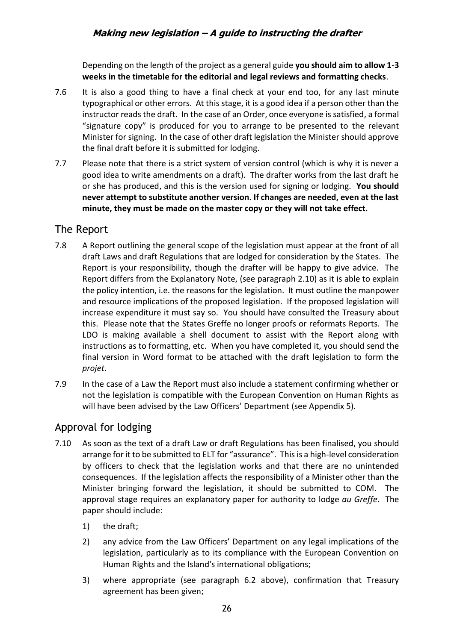Depending on the length of the project as a general guide **you should aim to allow 1-3 weeks in the timetable for the editorial and legal reviews and formatting checks**.

- 7.6 It is also a good thing to have a final check at your end too, for any last minute typographical or other errors. At this stage, it is a good idea if a person other than the instructor reads the draft. In the case of an Order, once everyone is satisfied, a formal "signature copy" is produced for you to arrange to be presented to the relevant Minister for signing. In the case of other draft legislation the Minister should approve the final draft before it is submitted for lodging.
- 7.7 Please note that there is a strict system of version control (which is why it is never a good idea to write amendments on a draft). The drafter works from the last draft he or she has produced, and this is the version used for signing or lodging. **You should never attempt to substitute another version. If changes are needed, even at the last minute, they must be made on the master copy or they will not take effect.**

# <span id="page-25-0"></span>The Report

- 7.8 A Report outlining the general scope of the legislation must appear at the front of all draft Laws and draft Regulations that are lodged for consideration by the States. The Report is your responsibility, though the drafter will be happy to give advice. The Report differs from the Explanatory Note, (see paragraph 2.10) as it is able to explain the policy intention, i.e. the reasons for the legislation. It must outline the manpower and resource implications of the proposed legislation. If the proposed legislation will increase expenditure it must say so. You should have consulted the Treasury about this. Please note that the States Greffe no longer proofs or reformats Reports. The LDO is making available a shell document to assist with the Report along with instructions as to formatting, etc. When you have completed it, you should send the final version in Word format to be attached with the draft legislation to form the *projet*.
- 7.9 In the case of a Law the Report must also include a statement confirming whether or not the legislation is compatible with the European Convention on Human Rights as will have been advised by the Law Officers' Department (see Appendix 5).

# <span id="page-25-1"></span>Approval for lodging

- 7.10 As soon as the text of a draft Law or draft Regulations has been finalised, you should arrange for it to be submitted to ELT for "assurance". This is a high-level consideration by officers to check that the legislation works and that there are no unintended consequences. If the legislation affects the responsibility of a Minister other than the Minister bringing forward the legislation, it should be submitted to COM. The approval stage requires an explanatory paper for authority to lodge *au Greffe*. The paper should include:
	- 1) the draft;
	- 2) any advice from the Law Officers' Department on any legal implications of the legislation, particularly as to its compliance with the European Convention on Human Rights and the Island's international obligations;
	- 3) where appropriate (see paragraph 6.2 above), confirmation that Treasury agreement has been given;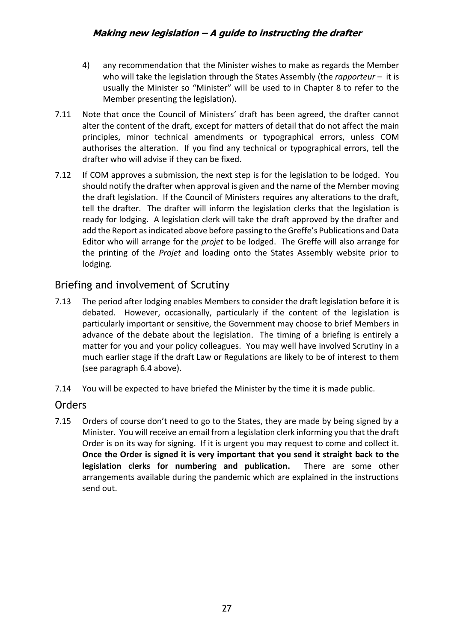- 4) any recommendation that the Minister wishes to make as regards the Member who will take the legislation through the States Assembly (the *rapporteur –* it is usually the Minister so "Minister" will be used to in Chapter 8 to refer to the Member presenting the legislation).
- 7.11 Note that once the Council of Ministers' draft has been agreed, the drafter cannot alter the content of the draft, except for matters of detail that do not affect the main principles, minor technical amendments or typographical errors, unless COM authorises the alteration. If you find any technical or typographical errors, tell the drafter who will advise if they can be fixed.
- 7.12 If COM approves a submission, the next step is for the legislation to be lodged. You should notify the drafter when approval is given and the name of the Member moving the draft legislation. If the Council of Ministers requires any alterations to the draft, tell the drafter. The drafter will inform the legislation clerks that the legislation is ready for lodging. A legislation clerk will take the draft approved by the drafter and add the Report as indicated above before passing to the Greffe's Publications and Data Editor who will arrange for the *projet* to be lodged. The Greffe will also arrange for the printing of the *Projet* and loading onto the States Assembly website prior to lodging.

# <span id="page-26-0"></span>Briefing and involvement of Scrutiny

- 7.13 The period after lodging enables Members to consider the draft legislation before it is debated. However, occasionally, particularly if the content of the legislation is particularly important or sensitive, the Government may choose to brief Members in advance of the debate about the legislation. The timing of a briefing is entirely a matter for you and your policy colleagues. You may well have involved Scrutiny in a much earlier stage if the draft Law or Regulations are likely to be of interest to them (see paragraph 6.4 above).
- 7.14 You will be expected to have briefed the Minister by the time it is made public.

# <span id="page-26-1"></span>**Orders**

7.15 Orders of course don't need to go to the States, they are made by being signed by a Minister. You will receive an email from a legislation clerk informing you that the draft Order is on its way for signing. If it is urgent you may request to come and collect it. **Once the Order is signed it is very important that you send it straight back to the legislation clerks for numbering and publication.** There are some other arrangements available during the pandemic which are explained in the instructions send out.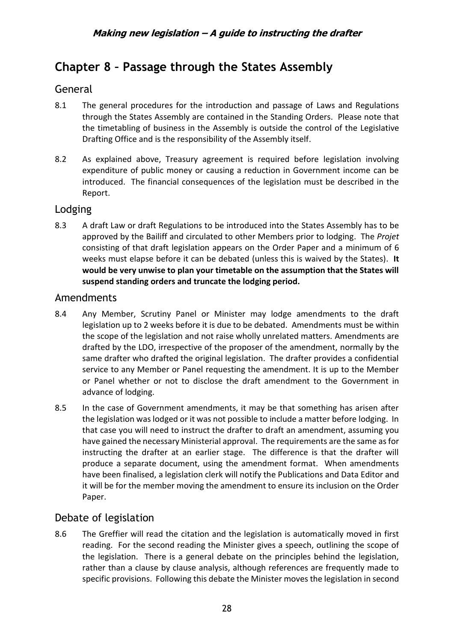# <span id="page-27-0"></span>**Chapter 8 – Passage through the States Assembly**

# <span id="page-27-1"></span>General

- 8.1 The general procedures for the introduction and passage of Laws and Regulations through the States Assembly are contained in the Standing Orders. Please note that the timetabling of business in the Assembly is outside the control of the Legislative Drafting Office and is the responsibility of the Assembly itself.
- 8.2 As explained above, Treasury agreement is required before legislation involving expenditure of public money or causing a reduction in Government income can be introduced. The financial consequences of the legislation must be described in the Report.

# <span id="page-27-2"></span>Lodging

8.3 A draft Law or draft Regulations to be introduced into the States Assembly has to be approved by the Bailiff and circulated to other Members prior to lodging. The *Projet* consisting of that draft legislation appears on the Order Paper and a minimum of 6 weeks must elapse before it can be debated (unless this is waived by the States). **It would be very unwise to plan your timetable on the assumption that the States will suspend standing orders and truncate the lodging period.**

### <span id="page-27-3"></span>Amendments

- 8.4 Any Member, Scrutiny Panel or Minister may lodge amendments to the draft legislation up to 2 weeks before it is due to be debated. Amendments must be within the scope of the legislation and not raise wholly unrelated matters. Amendments are drafted by the LDO, irrespective of the proposer of the amendment, normally by the same drafter who drafted the original legislation. The drafter provides a confidential service to any Member or Panel requesting the amendment. It is up to the Member or Panel whether or not to disclose the draft amendment to the Government in advance of lodging.
- 8.5 In the case of Government amendments, it may be that something has arisen after the legislation was lodged or it was not possible to include a matter before lodging. In that case you will need to instruct the drafter to draft an amendment, assuming you have gained the necessary Ministerial approval. The requirements are the same as for instructing the drafter at an earlier stage. The difference is that the drafter will produce a separate document, using the amendment format. When amendments have been finalised, a legislation clerk will notify the Publications and Data Editor and it will be for the member moving the amendment to ensure its inclusion on the Order Paper.

# <span id="page-27-4"></span>Debate of legislation

8.6 The Greffier will read the citation and the legislation is automatically moved in first reading. For the second reading the Minister gives a speech, outlining the scope of the legislation. There is a general debate on the principles behind the legislation, rather than a clause by clause analysis, although references are frequently made to specific provisions. Following this debate the Minister moves the legislation in second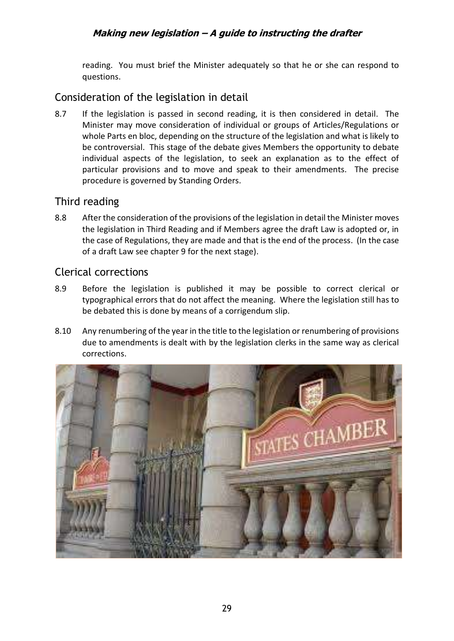reading. You must brief the Minister adequately so that he or she can respond to questions.

# <span id="page-28-0"></span>Consideration of the legislation in detail

8.7 If the legislation is passed in second reading, it is then considered in detail. The Minister may move consideration of individual or groups of Articles/Regulations or whole Parts en bloc, depending on the structure of the legislation and what is likely to be controversial. This stage of the debate gives Members the opportunity to debate individual aspects of the legislation, to seek an explanation as to the effect of particular provisions and to move and speak to their amendments. The precise procedure is governed by Standing Orders.

# <span id="page-28-1"></span>Third reading

8.8 After the consideration of the provisions of the legislation in detail the Minister moves the legislation in Third Reading and if Members agree the draft Law is adopted or, in the case of Regulations, they are made and that is the end of the process. (In the case of a draft Law see chapter 9 for the next stage).

# <span id="page-28-2"></span>Clerical corrections

- 8.9 Before the legislation is published it may be possible to correct clerical or typographical errors that do not affect the meaning. Where the legislation still has to be debated this is done by means of a corrigendum slip.
- 8.10 Any renumbering of the year in the title to the legislation or renumbering of provisions due to amendments is dealt with by the legislation clerks in the same way as clerical corrections.

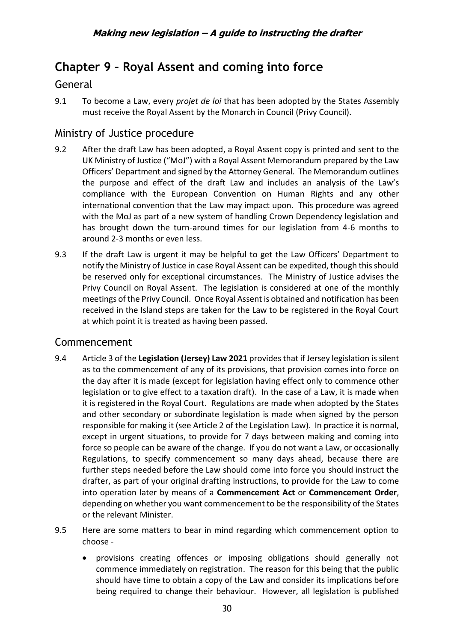# <span id="page-29-0"></span>**Chapter 9 – Royal Assent and coming into force**

# <span id="page-29-1"></span>General

9.1 To become a Law, every *projet de loi* that has been adopted by the States Assembly must receive the Royal Assent by the Monarch in Council (Privy Council).

# <span id="page-29-2"></span>Ministry of Justice procedure

- 9.2 After the draft Law has been adopted, a Royal Assent copy is printed and sent to the UK Ministry of Justice ("MoJ") with a Royal Assent Memorandum prepared by the Law Officers' Department and signed by the Attorney General. The Memorandum outlines the purpose and effect of the draft Law and includes an analysis of the Law's compliance with the European Convention on Human Rights and any other international convention that the Law may impact upon. This procedure was agreed with the MoJ as part of a new system of handling Crown Dependency legislation and has brought down the turn-around times for our legislation from 4-6 months to around 2-3 months or even less.
- 9.3 If the draft Law is urgent it may be helpful to get the Law Officers' Department to notify the Ministry of Justice in case Royal Assent can be expedited, though this should be reserved only for exceptional circumstances. The Ministry of Justice advises the Privy Council on Royal Assent. The legislation is considered at one of the monthly meetings of the Privy Council. Once Royal Assent is obtained and notification has been received in the Island steps are taken for the Law to be registered in the Royal Court at which point it is treated as having been passed.

# <span id="page-29-3"></span>Commencement

- 9.4 Article 3 of the **Legislation (Jersey) Law 2021** provides that if Jersey legislation is silent as to the commencement of any of its provisions, that provision comes into force on the day after it is made (except for legislation having effect only to commence other legislation or to give effect to a taxation draft). In the case of a Law, it is made when it is registered in the Royal Court. Regulations are made when adopted by the States and other secondary or subordinate legislation is made when signed by the person responsible for making it (see Article 2 of the Legislation Law). In practice it is normal, except in urgent situations, to provide for 7 days between making and coming into force so people can be aware of the change. If you do not want a Law, or occasionally Regulations, to specify commencement so many days ahead, because there are further steps needed before the Law should come into force you should instruct the drafter, as part of your original drafting instructions, to provide for the Law to come into operation later by means of a **Commencement Act** or **Commencement Order**, depending on whether you want commencement to be the responsibility of the States or the relevant Minister.
- 9.5 Here are some matters to bear in mind regarding which commencement option to choose -
	- provisions creating offences or imposing obligations should generally not commence immediately on registration. The reason for this being that the public should have time to obtain a copy of the Law and consider its implications before being required to change their behaviour. However, all legislation is published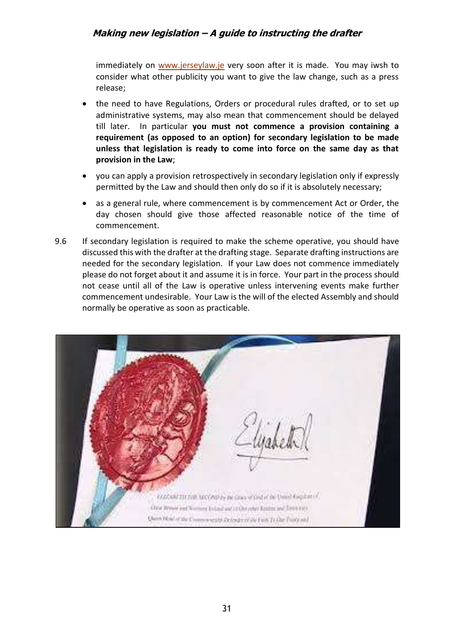immediately on [www.jerseylaw.je](http://www.jerseylaw.je/) very soon after it is made. You may iwsh to consider what other publicity you want to give the law change, such as a press release;

- the need to have Regulations, Orders or procedural rules drafted, or to set up administrative systems, may also mean that commencement should be delayed till later. In particular **you must not commence a provision containing a requirement (as opposed to an option) for secondary legislation to be made unless that legislation is ready to come into force on the same day as that provision in the Law**;
- you can apply a provision retrospectively in secondary legislation only if expressly permitted by the Law and should then only do so if it is absolutely necessary;
- as a general rule, where commencement is by commencement Act or Order, the day chosen should give those affected reasonable notice of the time of commencement.
- 9.6 If secondary legislation is required to make the scheme operative, you should have discussed this with the drafter at the drafting stage. Separate drafting instructions are needed for the secondary legislation. If your Law does not commence immediately please do not forget about it and assume it is in force. Your part in the process should not cease until all of the Law is operative unless intervening events make further commencement undesirable. Your Law is the will of the elected Assembly and should normally be operative as soon as practicable.

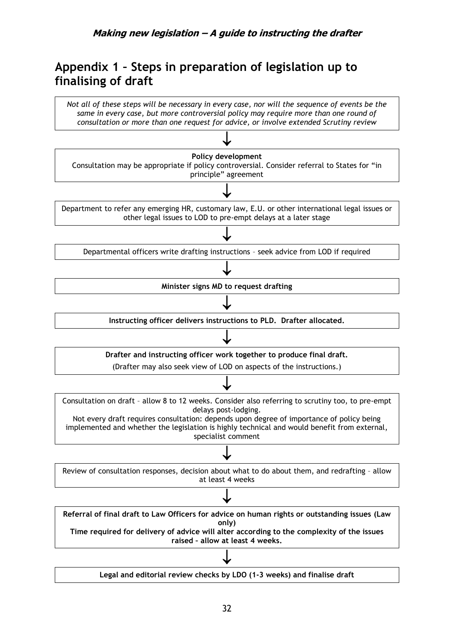# <span id="page-31-0"></span>**Appendix 1 – Steps in preparation of legislation up to finalising of draft**

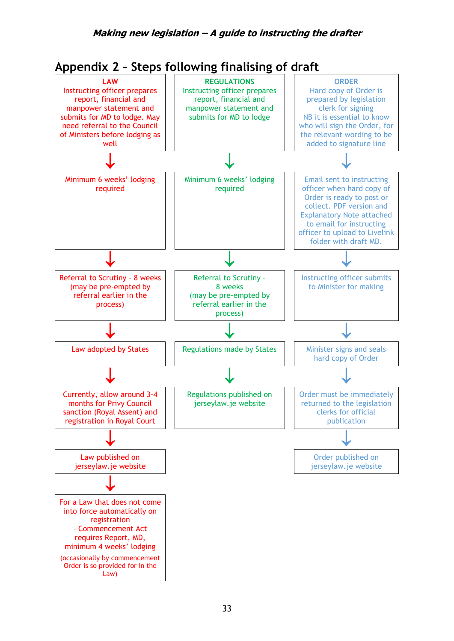<span id="page-32-0"></span>

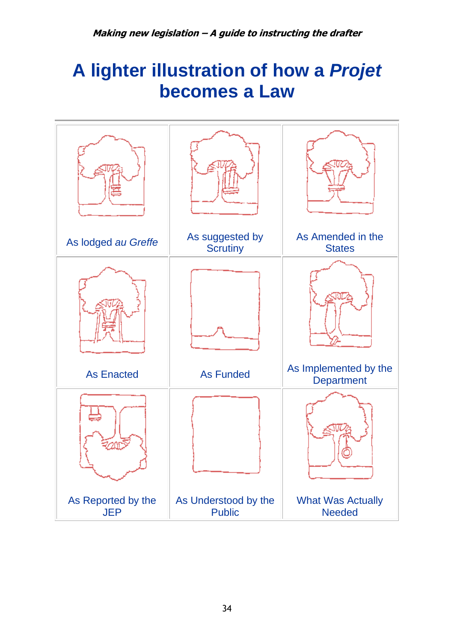# **A lighter illustration of how a** *Projet* **becomes a Law**

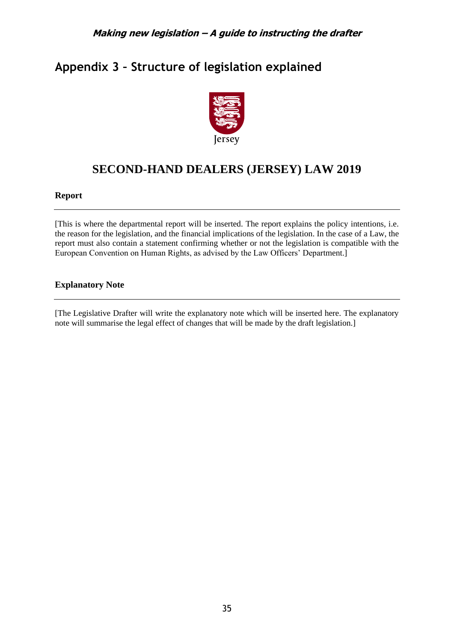# <span id="page-34-0"></span>**Appendix 3 – Structure of legislation explained**



# **SECOND-HAND DEALERS (JERSEY) LAW 2019**

#### **Report**

[This is where the departmental report will be inserted. The report explains the policy intentions, i.e. the reason for the legislation, and the financial implications of the legislation. In the case of a Law, the report must also contain a statement confirming whether or not the legislation is compatible with the European Convention on Human Rights, as advised by the Law Officers' Department.]

### **Explanatory Note**

[The Legislative Drafter will write the explanatory note which will be inserted here. The explanatory note will summarise the legal effect of changes that will be made by the draft legislation.]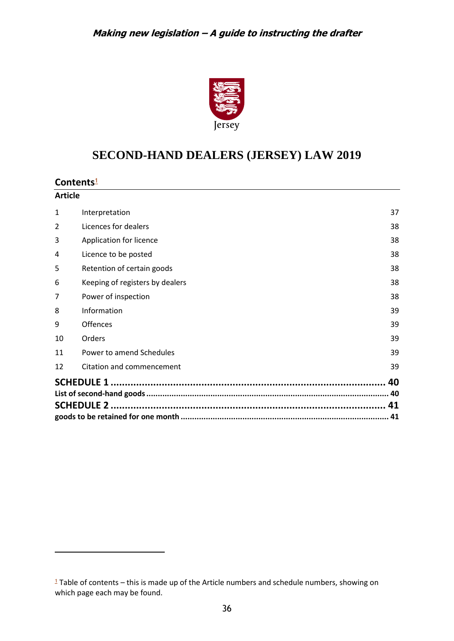

# <span id="page-35-1"></span>**SECOND-HAND DEALERS (JERSEY) LAW 2019**

### **Contents**[1](#page-35-0)

| <b>Article</b> |                                 |    |
|----------------|---------------------------------|----|
| 1              | Interpretation                  | 37 |
| 2              | Licences for dealers            | 38 |
| 3              | Application for licence         | 38 |
| 4              | Licence to be posted            | 38 |
| 5              | Retention of certain goods      | 38 |
| 6              | Keeping of registers by dealers | 38 |
| 7              | Power of inspection             | 38 |
| 8              | Information                     | 39 |
| 9              | <b>Offences</b>                 | 39 |
| 10             | Orders                          | 39 |
| 11             | Power to amend Schedules        | 39 |
| 12             | Citation and commencement       | 39 |
|                |                                 | 40 |
|                |                                 |    |
|                |                                 |    |
|                |                                 |    |

<span id="page-35-0"></span> Table of contents – this is made up of the Article numbers and schedule numbers, showing on which page each may be found.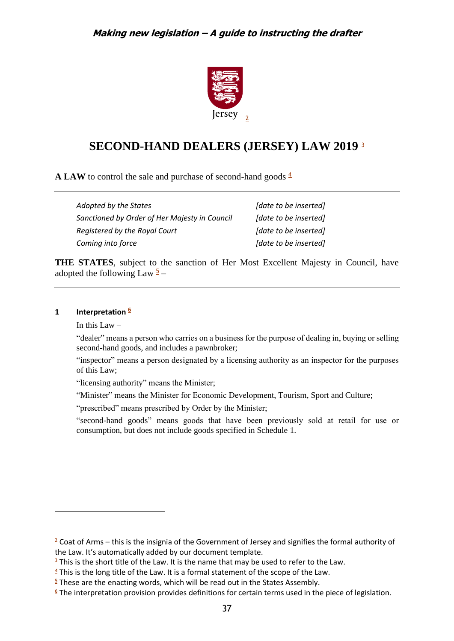<span id="page-36-8"></span><span id="page-36-7"></span><span id="page-36-6"></span>

# **SECOND-HAND DEALERS (JERSEY) LAW 2019** [3](#page-36-2)

**A LAW** to control the sale and purchase of second-hand goods  $\frac{4}{3}$  $\frac{4}{3}$  $\frac{4}{3}$ 

| Adopted by the States                         | [date to be inserted] |
|-----------------------------------------------|-----------------------|
| Sanctioned by Order of Her Majesty in Council | [date to be inserted] |
| Registered by the Royal Court                 | [date to be inserted] |
| Coming into force                             | [date to be inserted] |

**THE STATES**, subject to the sanction of Her Most Excellent Majesty in Council, have adopted the following Law  $\frac{5}{2}$  $\frac{5}{2}$  $\frac{5}{2}$  –

#### <span id="page-36-0"></span>**1 Interpretation [6](#page-36-5)**

<span id="page-36-10"></span><span id="page-36-9"></span>In this Law  $-$ 

"dealer" means a person who carries on a business for the purpose of dealing in, buying or selling second-hand goods, and includes a pawnbroker;

"inspector" means a person designated by a licensing authority as an inspector for the purposes of this Law;

"licensing authority" means the Minister;

"Minister" means the Minister for Economic Development, Tourism, Sport and Culture;

"prescribed" means prescribed by Order by the Minister;

"second-hand goods" means goods that have been previously sold at retail for use or consumption, but does not include goods specified in Schedule 1.

<span id="page-36-1"></span> $\frac{2}{3}$  $\frac{2}{3}$  $\frac{2}{3}$  Coat of Arms – this is the insignia of the Government of Jersey and signifies the formal authority of the Law. It's automatically added by our document template.

<span id="page-36-2"></span> $3$  This is the short title of the Law. It is the name that may be used to refer to the Law.

<span id="page-36-3"></span> $4$  This is the long title of the Law. It is a formal statement of the scope of the Law.

<span id="page-36-4"></span> $\frac{5}{2}$  $\frac{5}{2}$  $\frac{5}{2}$  These are the enacting words, which will be read out in the States Assembly.

<span id="page-36-5"></span> $6$  The interpretation provision provides definitions for certain terms used in the piece of legislation.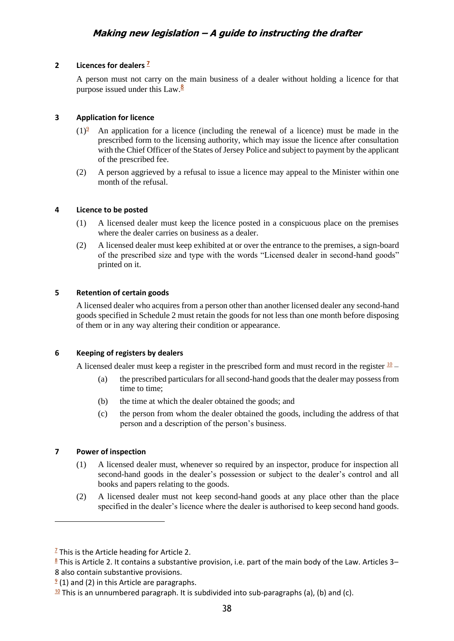#### <span id="page-37-0"></span>**2 Licences for dealers <sup>7</sup>**

<span id="page-37-11"></span><span id="page-37-10"></span>A person must not [ca](#page-37-6)rry on the main business of a dealer without holding a licence for that purpose issued under this Law. $\frac{8}{3}$  $\frac{8}{3}$  $\frac{8}{3}$ 

#### <span id="page-37-1"></span>**3 Application for licence**

- <span id="page-37-12"></span> $(1)^{2}$  $(1)^{2}$  $(1)^{2}$ <sup>9</sup> An application for a licence (including the renewal of a licence) must be made in the prescribed form to the licensing authority, which may issue the licence after consultation with the Chief Officer of the States of Jersey Police and subject to payment by the applicant of the prescribed fee.
- (2) A person aggrieved by a refusal to issue a licence may appeal to the Minister within one month of the refusal.

#### <span id="page-37-2"></span>**4 Licence to be posted**

- (1) A licensed dealer must keep the licence posted in a conspicuous place on the premises where the dealer carries on business as a dealer.
- (2) A licensed dealer must keep exhibited at or over the entrance to the premises, a sign-board of the prescribed size and type with the words "Licensed dealer in second-hand goods" printed on it.

#### <span id="page-37-3"></span>**5 Retention of certain goods**

A licensed dealer who acquires from a person other than another licensed dealer any second-hand goods specified in Schedule 2 must retain the goods for not less than one month before disposing of them or in any way altering their condition or appearance.

#### <span id="page-37-4"></span>**6 Keeping of registers by dealers**

A licensed dealer must keep a register in the prescribed form and must record in the register  $\frac{10}{10}$  $\frac{10}{10}$  $\frac{10}{10}$  –

- <span id="page-37-13"></span>(a) the prescribed particulars for all second-hand goods that the dealer may possess from time to time;
- (b) the time at which the dealer obtained the goods; and
- (c) the person from whom the dealer obtained the goods, including the address of that person and a description of the person's business.

#### <span id="page-37-5"></span>**7 Power of inspection**

- (1) A licensed dealer must, whenever so required by an inspector, produce for inspection all second-hand goods in the dealer's possession or subject to the dealer's control and all books and papers relating to the goods.
- (2) A licensed dealer must not keep second-hand goods at any place other than the place specified in the dealer's licence where the dealer is authorised to keep second hand goods.

<span id="page-37-6"></span> $\frac{7}{2}$  $\frac{7}{2}$  $\frac{7}{2}$  This is the Article heading for Article 2.

<span id="page-37-7"></span><sup>&</sup>lt;sup>[8](#page-37-11)</sup> This is Article 2. It contains a substantive provision, i.e. part of the main body of the Law. Articles 3– 8 also contain substantive provisions.

<span id="page-37-8"></span> $2(1)$  and (2) in this Article are paragraphs.

<span id="page-37-9"></span> $10$  This is an unnumbered paragraph. It is subdivided into sub-paragraphs (a), (b) and (c).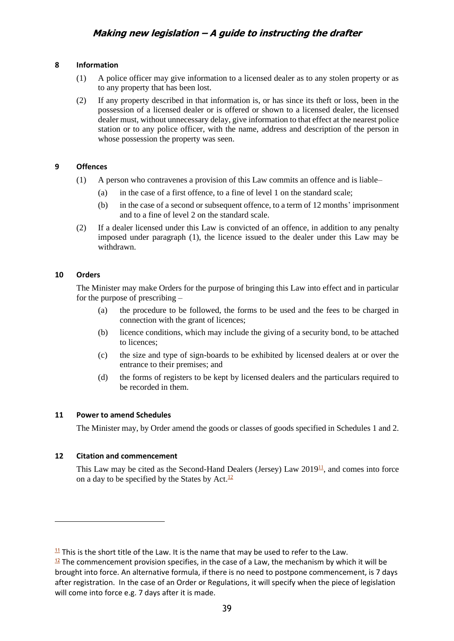#### <span id="page-38-0"></span>**8 Information**

- (1) A police officer may give information to a licensed dealer as to any stolen property or as to any property that has been lost.
- (2) If any property described in that information is, or has since its theft or loss, been in the possession of a licensed dealer or is offered or shown to a licensed dealer, the licensed dealer must, without unnecessary delay, give information to that effect at the nearest police station or to any police officer, with the name, address and description of the person in whose possession the property was seen.

#### <span id="page-38-1"></span>**9 Offences**

- (1) A person who contravenes a provision of this Law commits an offence and is liable–
	- (a) in the case of a first offence, to a fine of level 1 on the standard scale;
	- (b) in the case of a second or subsequent offence, to a term of 12 months' imprisonment and to a fine of level 2 on the standard scale.
- (2) If a dealer licensed under this Law is convicted of an offence, in addition to any penalty imposed under paragraph (1), the licence issued to the dealer under this Law may be withdrawn.

#### <span id="page-38-2"></span>**10 Orders**

The Minister may make Orders for the purpose of bringing this Law into effect and in particular for the purpose of prescribing –

- (a) the procedure to be followed, the forms to be used and the fees to be charged in connection with the grant of licences;
- (b) licence conditions, which may include the giving of a security bond, to be attached to licences;
- (c) the size and type of sign-boards to be exhibited by licensed dealers at or over the entrance to their premises; and
- <span id="page-38-7"></span>(d) the forms of registers to be kept by licensed dealers and the particulars required to be recorded in them.

#### <span id="page-38-3"></span>**11 Power to amend Schedules**

The Minister may, by Order amend the goods or classes of goods specified in Schedules 1 and 2.

#### <span id="page-38-4"></span>**12 Citation and commencement**

<span id="page-38-8"></span>This Law may be cited as the Second-Hand Dealers (Jersey) Law  $2019<sup>11</sup>$  $2019<sup>11</sup>$  $2019<sup>11</sup>$ , and comes into force on a day to be specified by the States by Act.<sup>[12](#page-38-6)</sup>

<span id="page-38-5"></span> $11$  This is the short title of the Law. It is the name that may be used to refer to the Law.

<span id="page-38-6"></span> $12$  The commencement provision specifies, in the case of a Law, the mechanism by which it will be brought into force. An alternative formula, if there is no need to postpone commencement, is 7 days after registration. In the case of an Order or Regulations, it will specify when the piece of legislation will come into force e.g. 7 days after it is made.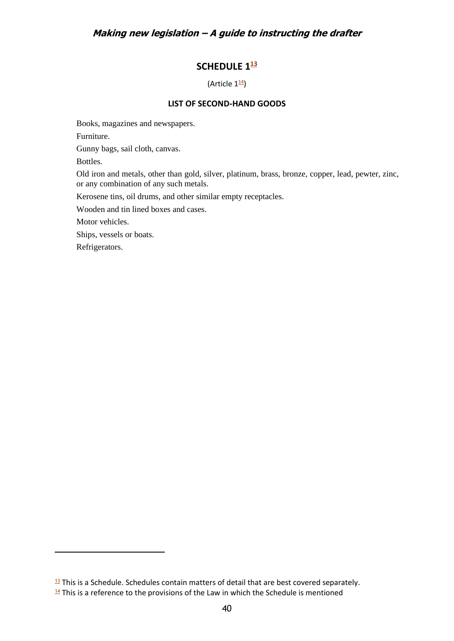# **SCHEDULE 1 [13](#page-39-2)**

<span id="page-39-5"></span><span id="page-39-4"></span>(Article  $1^{\underline{14}}$  $1^{\underline{14}}$  $1^{\underline{14}}$ )

#### **LIST OF SECOND-HAND GOODS**

<span id="page-39-1"></span><span id="page-39-0"></span>Books, magazines and newspapers.

Furniture.

Gunny bags, sail cloth, canvas.

Bottles.

Old iron and metals, other than gold, silver, platinum, brass, bronze, copper, lead, pewter, zinc, or any combination of any such metals.

Kerosene tins, oil drums, and other similar empty receptacles.

Wooden and tin lined boxes and cases.

Motor vehicles.

Ships, vessels or boats.

Refrigerators.

<span id="page-39-2"></span> $13$  This is a Schedule. Schedules contain matters of detail that are best covered separately.

<span id="page-39-3"></span> $14$  This is a reference to the provisions of the Law in which the Schedule is mentioned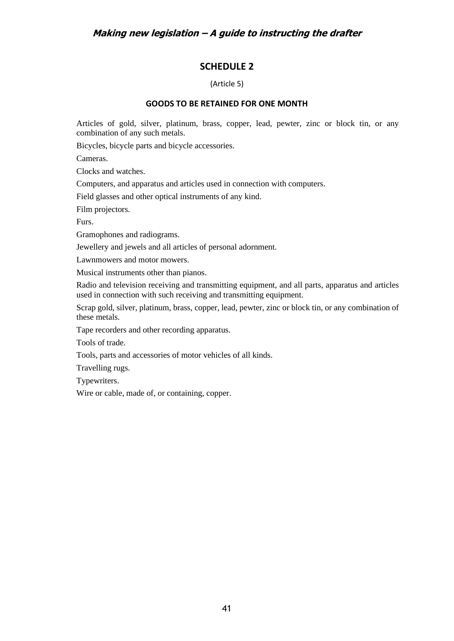### **SCHEDULE 2**

(Article 5)

#### **GOODS TO BE RETAINED FOR ONE MONTH**

<span id="page-40-1"></span><span id="page-40-0"></span>Articles of gold, silver, platinum, brass, copper, lead, pewter, zinc or block tin, or any combination of any such metals.

Bicycles, bicycle parts and bicycle accessories.

Cameras.

Clocks and watches.

Computers, and apparatus and articles used in connection with computers.

Field glasses and other optical instruments of any kind.

Film projectors.

Furs.

Gramophones and radiograms.

Jewellery and jewels and all articles of personal adornment.

Lawnmowers and motor mowers.

Musical instruments other than pianos.

Radio and television receiving and transmitting equipment, and all parts, apparatus and articles used in connection with such receiving and transmitting equipment.

Scrap gold, silver, platinum, brass, copper, lead, pewter, zinc or block tin, or any combination of these metals.

Tape recorders and other recording apparatus.

Tools of trade.

Tools, parts and accessories of motor vehicles of all kinds.

Travelling rugs.

Typewriters.

Wire or cable, made of, or containing, copper.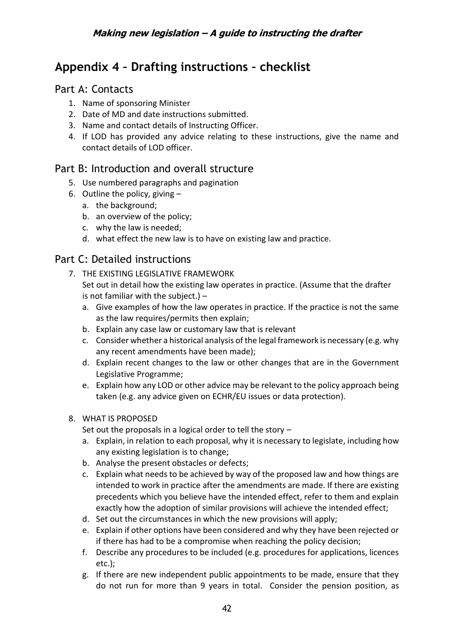# <span id="page-41-0"></span>**Appendix 4 – Drafting instructions – checklist**

# <span id="page-41-1"></span>Part A: Contacts

- 1. Name of sponsoring Minister
- 2. Date of MD and date instructions submitted.
- 3. Name and contact details of Instructing Officer.
- 4. If LOD has provided any advice relating to these instructions, give the name and contact details of LOD officer.

# <span id="page-41-2"></span>Part B: Introduction and overall structure

- 5. Use numbered paragraphs and pagination
- 6. Outline the policy, giving  $$ 
	- a. the background;
	- b. an overview of the policy;
	- c. why the law is needed;
	- d. what effect the new law is to have on existing law and practice.

# <span id="page-41-3"></span>Part C: Detailed instructions

- 7. THE EXISTING LEGISLATIVE FRAMEWORK Set out in detail how the existing law operates in practice. (Assume that the drafter is not familiar with the subject.)  $$ 
	- a. Give examples of how the law operates in practice. If the practice is not the same as the law requires/permits then explain;
	- b. Explain any case law or customary law that is relevant
	- c. Consider whether a historical analysis of the legal framework is necessary (e.g. why any recent amendments have been made);
	- d. Explain recent changes to the law or other changes that are in the Government Legislative Programme;
	- e. Explain how any LOD or other advice may be relevant to the policy approach being taken (e.g. any advice given on ECHR/EU issues or data protection).

### 8. WHAT IS PROPOSED

Set out the proposals in a logical order to tell the story –

- a. Explain, in relation to each proposal, why it is necessary to legislate, including how any existing legislation is to change;
- b. Analyse the present obstacles or defects;
- c. Explain what needs to be achieved by way of the proposed law and how things are intended to work in practice after the amendments are made. If there are existing precedents which you believe have the intended effect, refer to them and explain exactly how the adoption of similar provisions will achieve the intended effect;
- d. Set out the circumstances in which the new provisions will apply;
- e. Explain if other options have been considered and why they have been rejected or if there has had to be a compromise when reaching the policy decision;
- f. Describe any procedures to be included (e.g. procedures for applications, licences etc.);
- g. If there are new independent public appointments to be made, ensure that they do not run for more than 9 years in total. Consider the pension position, as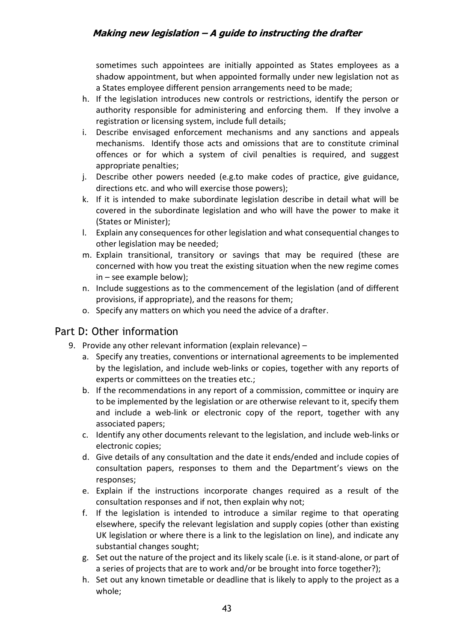sometimes such appointees are initially appointed as States employees as a shadow appointment, but when appointed formally under new legislation not as a States employee different pension arrangements need to be made;

- h. If the legislation introduces new controls or restrictions, identify the person or authority responsible for administering and enforcing them. If they involve a registration or licensing system, include full details;
- i. Describe envisaged enforcement mechanisms and any sanctions and appeals mechanisms. Identify those acts and omissions that are to constitute criminal offences or for which a system of civil penalties is required, and suggest appropriate penalties;
- j. Describe other powers needed (e.g.to make codes of practice, give guidance, directions etc. and who will exercise those powers);
- k. If it is intended to make subordinate legislation describe in detail what will be covered in the subordinate legislation and who will have the power to make it (States or Minister);
- l. Explain any consequences for other legislation and what consequential changes to other legislation may be needed;
- m. Explain transitional, transitory or savings that may be required (these are concerned with how you treat the existing situation when the new regime comes in – see example below);
- n. Include suggestions as to the commencement of the legislation (and of different provisions, if appropriate), and the reasons for them;
- o. Specify any matters on which you need the advice of a drafter.

# <span id="page-42-0"></span>Part D: Other information

- 9. Provide any other relevant information (explain relevance)
	- a. Specify any treaties, conventions or international agreements to be implemented by the legislation, and include web-links or copies, together with any reports of experts or committees on the treaties etc.;
	- b. If the recommendations in any report of a commission, committee or inquiry are to be implemented by the legislation or are otherwise relevant to it, specify them and include a web-link or electronic copy of the report, together with any associated papers;
	- c. Identify any other documents relevant to the legislation, and include web-links or electronic copies;
	- d. Give details of any consultation and the date it ends/ended and include copies of consultation papers, responses to them and the Department's views on the responses;
	- e. Explain if the instructions incorporate changes required as a result of the consultation responses and if not, then explain why not;
	- f. If the legislation is intended to introduce a similar regime to that operating elsewhere, specify the relevant legislation and supply copies (other than existing UK legislation or where there is a link to the legislation on line), and indicate any substantial changes sought;
	- g. Set out the nature of the project and its likely scale (i.e. is it stand-alone, or part of a series of projects that are to work and/or be brought into force together?);
	- h. Set out any known timetable or deadline that is likely to apply to the project as a whole;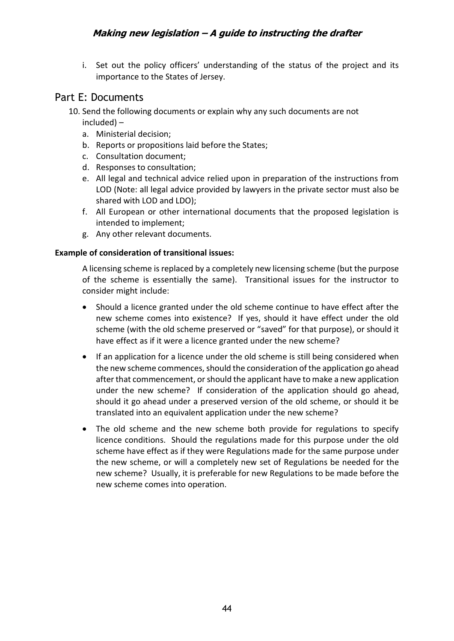i. Set out the policy officers' understanding of the status of the project and its importance to the States of Jersey.

# <span id="page-43-0"></span>Part E: Documents

- 10. Send the following documents or explain why any such documents are not included) –
	- a. Ministerial decision;
	- b. Reports or propositions laid before the States;
	- c. Consultation document;
	- d. Responses to consultation;
	- e. All legal and technical advice relied upon in preparation of the instructions from LOD (Note: all legal advice provided by lawyers in the private sector must also be shared with LOD and LDO);
	- f. All European or other international documents that the proposed legislation is intended to implement;
	- g. Any other relevant documents.

#### **Example of consideration of transitional issues:**

A licensing scheme is replaced by a completely new licensing scheme (but the purpose of the scheme is essentially the same). Transitional issues for the instructor to consider might include:

- Should a licence granted under the old scheme continue to have effect after the new scheme comes into existence? If yes, should it have effect under the old scheme (with the old scheme preserved or "saved" for that purpose), or should it have effect as if it were a licence granted under the new scheme?
- If an application for a licence under the old scheme is still being considered when the new scheme commences, should the consideration of the application go ahead after that commencement, or should the applicant have to make a new application under the new scheme? If consideration of the application should go ahead, should it go ahead under a preserved version of the old scheme, or should it be translated into an equivalent application under the new scheme?
- The old scheme and the new scheme both provide for regulations to specify licence conditions. Should the regulations made for this purpose under the old scheme have effect as if they were Regulations made for the same purpose under the new scheme, or will a completely new set of Regulations be needed for the new scheme? Usually, it is preferable for new Regulations to be made before the new scheme comes into operation.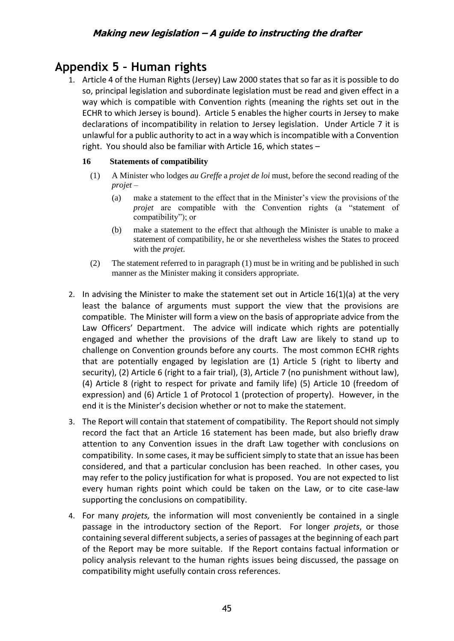# <span id="page-44-0"></span>**Appendix 5 – Human rights**

1. Article 4 of the Human Rights (Jersey) Law 2000 states that so far as it is possible to do so, principal legislation and subordinate legislation must be read and given effect in a way which is compatible with Convention rights (meaning the rights set out in the ECHR to which Jersey is bound). Article 5 enables the higher courts in Jersey to make declarations of incompatibility in relation to Jersey legislation. Under Article 7 it is unlawful for a public authority to act in a way which is incompatible with a Convention right. You should also be familiar with Article 16, which states –

#### **16 Statements of compatibility**

- (1) A Minister who lodges *au Greffe* a *projet de loi* must, before the second reading of the *projet* –
	- (a) make a statement to the effect that in the Minister's view the provisions of the *projet* are compatible with the Convention rights (a "statement of compatibility"); or
	- (b) make a statement to the effect that although the Minister is unable to make a statement of compatibility, he or she nevertheless wishes the States to proceed with the *projet*.
- (2) The statement referred to in paragraph (1) must be in writing and be published in such manner as the Minister making it considers appropriate.
- 2. In advising the Minister to make the statement set out in Article  $16(1)(a)$  at the very least the balance of arguments must support the view that the provisions are compatible. The Minister will form a view on the basis of appropriate advice from the Law Officers' Department. The advice will indicate which rights are potentially engaged and whether the provisions of the draft Law are likely to stand up to challenge on Convention grounds before any courts. The most common ECHR rights that are potentially engaged by legislation are (1) Article 5 (right to liberty and security), (2) Article 6 (right to a fair trial), (3), Article 7 (no punishment without law), (4) Article 8 (right to respect for private and family life) (5) Article 10 (freedom of expression) and (6) Article 1 of Protocol 1 (protection of property). However, in the end it is the Minister's decision whether or not to make the statement.
- 3. The Report will contain that statement of compatibility. The Report should not simply record the fact that an Article 16 statement has been made, but also briefly draw attention to any Convention issues in the draft Law together with conclusions on compatibility. In some cases, it may be sufficient simply to state that an issue has been considered, and that a particular conclusion has been reached. In other cases, you may refer to the policy justification for what is proposed. You are not expected to list every human rights point which could be taken on the Law, or to cite case-law supporting the conclusions on compatibility.
- 4. For many *projets,* the information will most conveniently be contained in a single passage in the introductory section of the Report. For longer *projets*, or those containing several different subjects, a series of passages at the beginning of each part of the Report may be more suitable. If the Report contains factual information or policy analysis relevant to the human rights issues being discussed, the passage on compatibility might usefully contain cross references.